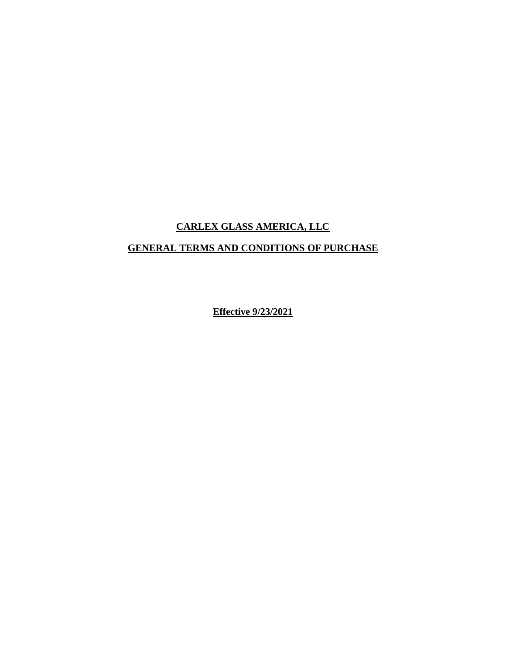# **CARLEX GLASS AMERICA, LLC**

# **GENERAL TERMS AND CONDITIONS OF PURCHASE**

**Effective 9/23/2021**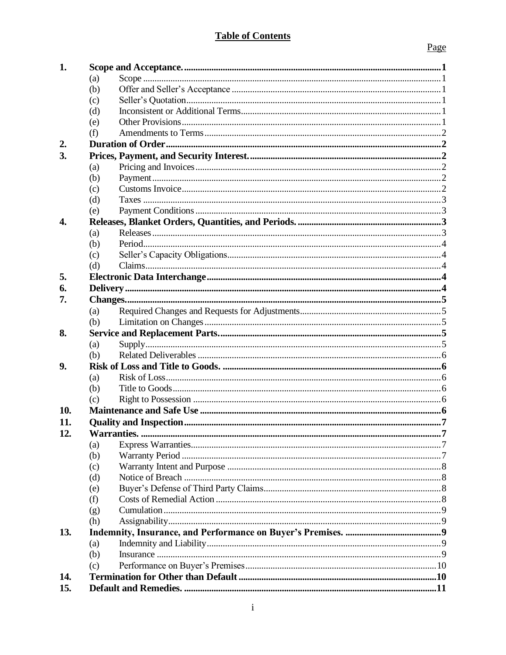# **Table of Contents**

| 1.  |            |  |
|-----|------------|--|
|     | (a)        |  |
|     | (b)        |  |
|     | (c)        |  |
|     | (d)        |  |
|     | (e)        |  |
|     | (f)        |  |
| 2.  |            |  |
| 3.  |            |  |
|     | (a)        |  |
|     | (b)        |  |
|     | (c)        |  |
|     | (d)        |  |
|     | (e)        |  |
| 4.  |            |  |
|     | (a)        |  |
|     | (b)        |  |
|     | (c)        |  |
|     | (d)        |  |
| 5.  |            |  |
| 6.  |            |  |
| 7.  |            |  |
|     | (a)        |  |
|     | (b)        |  |
| 8.  |            |  |
|     | (a)        |  |
|     | (b)        |  |
| 9.  |            |  |
|     | (a)        |  |
|     | (b)        |  |
|     | (c)        |  |
| 10. |            |  |
| 11. |            |  |
| 12. |            |  |
|     | (a)        |  |
|     | (b)        |  |
|     | (c)<br>(d) |  |
|     | (e)        |  |
|     | (f)        |  |
|     | (g)        |  |
|     | (h)        |  |
| 13. |            |  |
|     | (a)        |  |
|     | (b)        |  |
|     | (c)        |  |
| 14. |            |  |
| 15. |            |  |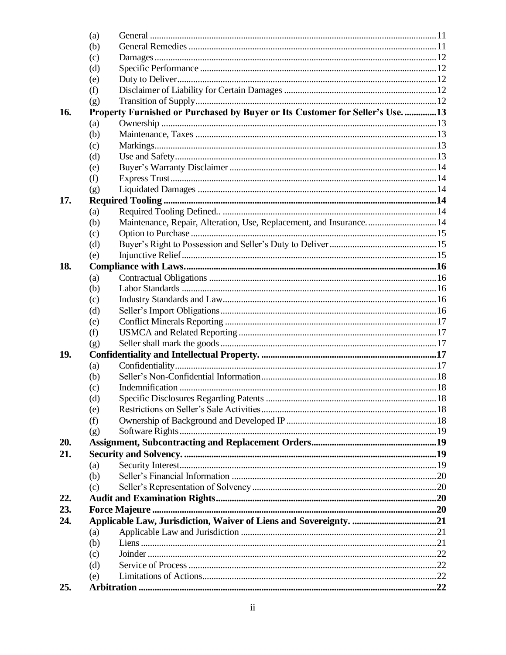|     | (a) |                                                                               |  |
|-----|-----|-------------------------------------------------------------------------------|--|
|     | (b) |                                                                               |  |
|     | (c) |                                                                               |  |
|     | (d) |                                                                               |  |
|     | (e) |                                                                               |  |
|     | (f) |                                                                               |  |
|     | (g) |                                                                               |  |
| 16. |     | Property Furnished or Purchased by Buyer or Its Customer for Seller's Use. 13 |  |
|     | (a) |                                                                               |  |
|     | (b) |                                                                               |  |
|     | (c) |                                                                               |  |
|     | (d) |                                                                               |  |
|     | (e) |                                                                               |  |
|     | (f) |                                                                               |  |
|     | (g) |                                                                               |  |
| 17. |     |                                                                               |  |
|     | (a) |                                                                               |  |
|     | (b) | Maintenance, Repair, Alteration, Use, Replacement, and Insurance 14           |  |
|     | (c) |                                                                               |  |
|     | (d) |                                                                               |  |
|     | (e) |                                                                               |  |
| 18. |     |                                                                               |  |
|     | (a) |                                                                               |  |
|     | (b) |                                                                               |  |
|     | (c) |                                                                               |  |
|     | (d) |                                                                               |  |
|     | (e) |                                                                               |  |
|     | (f) |                                                                               |  |
|     | (g) |                                                                               |  |
| 19. |     |                                                                               |  |
|     | (a) |                                                                               |  |
|     | (b) |                                                                               |  |
|     | (c) |                                                                               |  |
|     | (d) |                                                                               |  |
|     | (e) |                                                                               |  |
|     | (f) |                                                                               |  |
|     | (g) |                                                                               |  |
| 20. |     |                                                                               |  |
| 21. |     |                                                                               |  |
|     | (a) |                                                                               |  |
|     | (b) |                                                                               |  |
|     | (c) |                                                                               |  |
| 22. |     |                                                                               |  |
| 23. |     |                                                                               |  |
| 24. |     |                                                                               |  |
|     | (a) |                                                                               |  |
|     | (b) |                                                                               |  |
|     | (c) |                                                                               |  |
|     | (d) |                                                                               |  |
|     | (e) |                                                                               |  |
| 25. |     |                                                                               |  |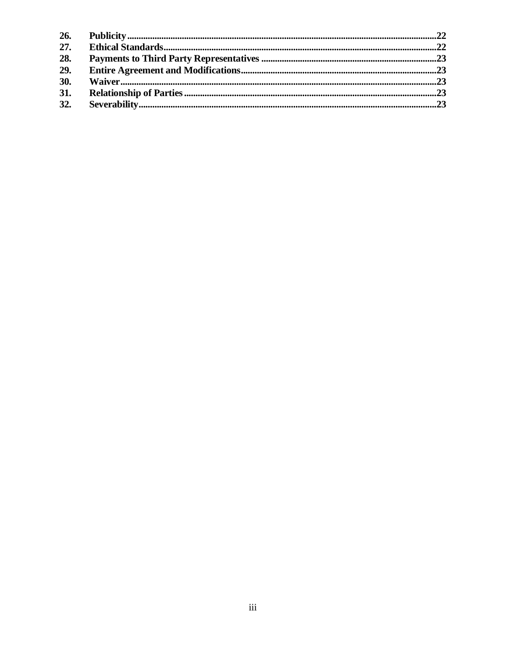| 26. |  |
|-----|--|
| 27. |  |
| 28. |  |
| 29. |  |
| 30. |  |
| 31. |  |
| 32. |  |
|     |  |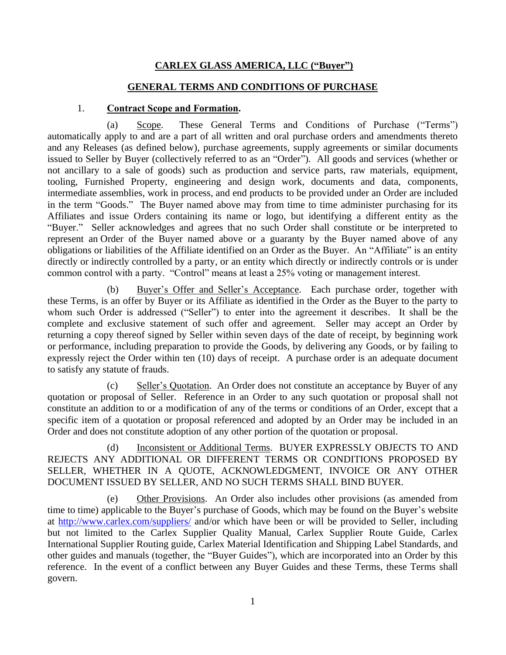# **CARLEX GLASS AMERICA, LLC ("Buyer")**

#### **GENERAL TERMS AND CONDITIONS OF PURCHASE**

#### 1. **Contract Scope and Formation.**

<span id="page-4-1"></span><span id="page-4-0"></span>(a) Scope. These General Terms and Conditions of Purchase ("Terms") automatically apply to and are a part of all written and oral purchase orders and amendments thereto and any Releases (as defined below), purchase agreements, supply agreements or similar documents issued to Seller by Buyer (collectively referred to as an "Order"). All goods and services (whether or not ancillary to a sale of goods) such as production and service parts, raw materials, equipment, tooling, Furnished Property, engineering and design work, documents and data, components, intermediate assemblies, work in process, and end products to be provided under an Order are included in the term "Goods." The Buyer named above may from time to time administer purchasing for its Affiliates and issue Orders containing its name or logo, but identifying a different entity as the "Buyer." Seller acknowledges and agrees that no such Order shall constitute or be interpreted to represent an Order of the Buyer named above or a guaranty by the Buyer named above of any obligations or liabilities of the Affiliate identified on an Order as the Buyer. An "Affiliate" is an entity directly or indirectly controlled by a party, or an entity which directly or indirectly controls or is under common control with a party. "Control" means at least a 25% voting or management interest.

<span id="page-4-2"></span>(b) Buyer's Offer and Seller's Acceptance. Each purchase order, together with these Terms, is an offer by Buyer or its Affiliate as identified in the Order as the Buyer to the party to whom such Order is addressed ("Seller") to enter into the agreement it describes. It shall be the complete and exclusive statement of such offer and agreement. Seller may accept an Order by returning a copy thereof signed by Seller within seven days of the date of receipt, by beginning work or performance, including preparation to provide the Goods, by delivering any Goods, or by failing to expressly reject the Order within ten (10) days of receipt. A purchase order is an adequate document to satisfy any statute of frauds.

<span id="page-4-3"></span>(c) Seller's Quotation. An Order does not constitute an acceptance by Buyer of any quotation or proposal of Seller. Reference in an Order to any such quotation or proposal shall not constitute an addition to or a modification of any of the terms or conditions of an Order, except that a specific item of a quotation or proposal referenced and adopted by an Order may be included in an Order and does not constitute adoption of any other portion of the quotation or proposal.

<span id="page-4-4"></span>(d) Inconsistent or Additional Terms. BUYER EXPRESSLY OBJECTS TO AND REJECTS ANY ADDITIONAL OR DIFFERENT TERMS OR CONDITIONS PROPOSED BY SELLER, WHETHER IN A QUOTE, ACKNOWLEDGMENT, INVOICE OR ANY OTHER DOCUMENT ISSUED BY SELLER, AND NO SUCH TERMS SHALL BIND BUYER.

<span id="page-4-5"></span>(e) Other Provisions. An Order also includes other provisions (as amended from time to time) applicable to the Buyer's purchase of Goods, which may be found on the Buyer's website at [http://www.carlex.com/suppliers](http://www.carlex.com/supplier)/ and/or which have been or will be provided to Seller, including but not limited to the Carlex Supplier Quality Manual, Carlex Supplier Route Guide, Carlex International Supplier Routing guide, Carlex Material Identification and Shipping Label Standards, and other guides and manuals (together, the "Buyer Guides"), which are incorporated into an Order by this reference. In the event of a conflict between any Buyer Guides and these Terms, these Terms shall govern.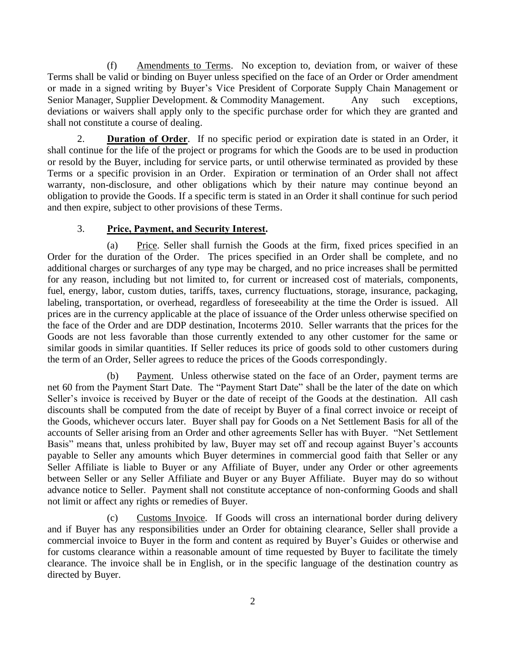<span id="page-5-0"></span>(f) Amendments to Terms. No exception to, deviation from, or waiver of these Terms shall be valid or binding on Buyer unless specified on the face of an Order or Order amendment or made in a signed writing by Buyer's Vice President of Corporate Supply Chain Management or Senior Manager, Supplier Development. & Commodity Management. Any such exceptions, deviations or waivers shall apply only to the specific purchase order for which they are granted and shall not constitute a course of dealing.

<span id="page-5-1"></span>2. **Duration of Order**. If no specific period or expiration date is stated in an Order, it shall continue for the life of the project or programs for which the Goods are to be used in production or resold by the Buyer, including for service parts, or until otherwise terminated as provided by these Terms or a specific provision in an Order. Expiration or termination of an Order shall not affect warranty, non-disclosure, and other obligations which by their nature may continue beyond an obligation to provide the Goods. If a specific term is stated in an Order it shall continue for such period and then expire, subject to other provisions of these Terms.

# 3. **Price, Payment, and Security Interest.**

<span id="page-5-3"></span><span id="page-5-2"></span>(a) Price. Seller shall furnish the Goods at the firm, fixed prices specified in an Order for the duration of the Order. The prices specified in an Order shall be complete, and no additional charges or surcharges of any type may be charged, and no price increases shall be permitted for any reason, including but not limited to, for current or increased cost of materials, components, fuel, energy, labor, custom duties, tariffs, taxes, currency fluctuations, storage, insurance, packaging, labeling, transportation, or overhead, regardless of foreseeability at the time the Order is issued. All prices are in the currency applicable at the place of issuance of the Order unless otherwise specified on the face of the Order and are DDP destination, Incoterms 2010. Seller warrants that the prices for the Goods are not less favorable than those currently extended to any other customer for the same or similar goods in similar quantities. If Seller reduces its price of goods sold to other customers during the term of an Order, Seller agrees to reduce the prices of the Goods correspondingly.

<span id="page-5-4"></span>(b) Payment. Unless otherwise stated on the face of an Order, payment terms are net 60 from the Payment Start Date. The "Payment Start Date" shall be the later of the date on which Seller's invoice is received by Buyer or the date of receipt of the Goods at the destination. All cash discounts shall be computed from the date of receipt by Buyer of a final correct invoice or receipt of the Goods, whichever occurs later. Buyer shall pay for Goods on a Net Settlement Basis for all of the accounts of Seller arising from an Order and other agreements Seller has with Buyer. "Net Settlement Basis" means that, unless prohibited by law, Buyer may set off and recoup against Buyer's accounts payable to Seller any amounts which Buyer determines in commercial good faith that Seller or any Seller Affiliate is liable to Buyer or any Affiliate of Buyer, under any Order or other agreements between Seller or any Seller Affiliate and Buyer or any Buyer Affiliate. Buyer may do so without advance notice to Seller. Payment shall not constitute acceptance of non-conforming Goods and shall not limit or affect any rights or remedies of Buyer.

<span id="page-5-5"></span>(c) Customs Invoice. If Goods will cross an international border during delivery and if Buyer has any responsibilities under an Order for obtaining clearance, Seller shall provide a commercial invoice to Buyer in the form and content as required by Buyer's Guides or otherwise and for customs clearance within a reasonable amount of time requested by Buyer to facilitate the timely clearance. The invoice shall be in English, or in the specific language of the destination country as directed by Buyer.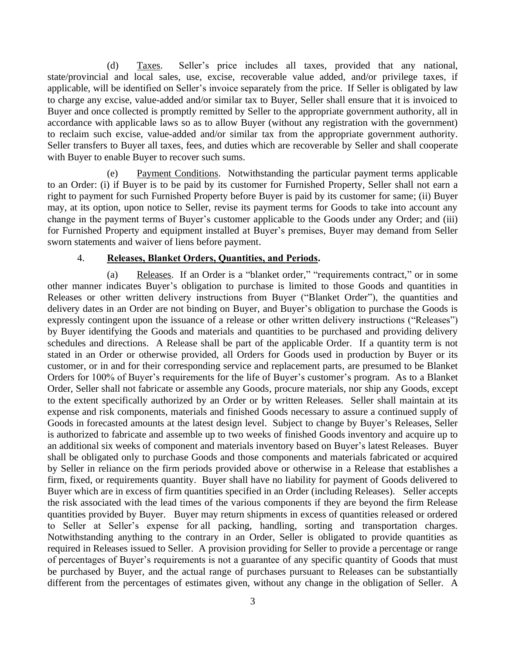<span id="page-6-0"></span>(d) Taxes. Seller's price includes all taxes, provided that any national, state/provincial and local sales, use, excise, recoverable value added, and/or privilege taxes, if applicable, will be identified on Seller's invoice separately from the price. If Seller is obligated by law to charge any excise, value-added and/or similar tax to Buyer, Seller shall ensure that it is invoiced to Buyer and once collected is promptly remitted by Seller to the appropriate government authority, all in accordance with applicable laws so as to allow Buyer (without any registration with the government) to reclaim such excise, value-added and/or similar tax from the appropriate government authority. Seller transfers to Buyer all taxes, fees, and duties which are recoverable by Seller and shall cooperate with Buyer to enable Buyer to recover such sums.

<span id="page-6-1"></span>(e) Payment Conditions. Notwithstanding the particular payment terms applicable to an Order: (i) if Buyer is to be paid by its customer for Furnished Property, Seller shall not earn a right to payment for such Furnished Property before Buyer is paid by its customer for same; (ii) Buyer may, at its option, upon notice to Seller, revise its payment terms for Goods to take into account any change in the payment terms of Buyer's customer applicable to the Goods under any Order; and (iii) for Furnished Property and equipment installed at Buyer's premises, Buyer may demand from Seller sworn statements and waiver of liens before payment.

#### 4. **Releases, Blanket Orders, Quantities, and Periods.**

<span id="page-6-3"></span><span id="page-6-2"></span>(a) Releases. If an Order is a "blanket order," "requirements contract," or in some other manner indicates Buyer's obligation to purchase is limited to those Goods and quantities in Releases or other written delivery instructions from Buyer ("Blanket Order"), the quantities and delivery dates in an Order are not binding on Buyer, and Buyer's obligation to purchase the Goods is expressly contingent upon the issuance of a release or other written delivery instructions ("Releases") by Buyer identifying the Goods and materials and quantities to be purchased and providing delivery schedules and directions. A Release shall be part of the applicable Order. If a quantity term is not stated in an Order or otherwise provided, all Orders for Goods used in production by Buyer or its customer, or in and for their corresponding service and replacement parts, are presumed to be Blanket Orders for 100% of Buyer's requirements for the life of Buyer's customer's program. As to a Blanket Order, Seller shall not fabricate or assemble any Goods, procure materials, nor ship any Goods, except to the extent specifically authorized by an Order or by written Releases. Seller shall maintain at its expense and risk components, materials and finished Goods necessary to assure a continued supply of Goods in forecasted amounts at the latest design level. Subject to change by Buyer's Releases, Seller is authorized to fabricate and assemble up to two weeks of finished Goods inventory and acquire up to an additional six weeks of component and materials inventory based on Buyer's latest Releases. Buyer shall be obligated only to purchase Goods and those components and materials fabricated or acquired by Seller in reliance on the firm periods provided above or otherwise in a Release that establishes a firm, fixed, or requirements quantity. Buyer shall have no liability for payment of Goods delivered to Buyer which are in excess of firm quantities specified in an Order (including Releases). Seller accepts the risk associated with the lead times of the various components if they are beyond the firm Release quantities provided by Buyer. Buyer may return shipments in excess of quantities released or ordered to Seller at Seller's expense for all packing, handling, sorting and transportation charges. Notwithstanding anything to the contrary in an Order, Seller is obligated to provide quantities as required in Releases issued to Seller. A provision providing for Seller to provide a percentage or range of percentages of Buyer's requirements is not a guarantee of any specific quantity of Goods that must be purchased by Buyer, and the actual range of purchases pursuant to Releases can be substantially different from the percentages of estimates given, without any change in the obligation of Seller. A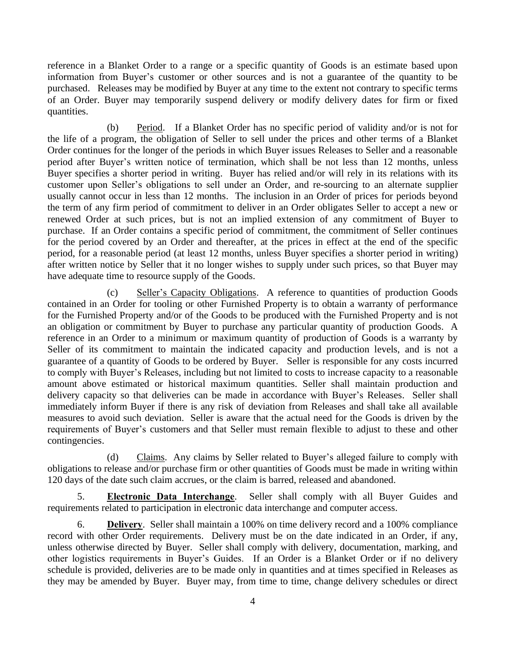reference in a Blanket Order to a range or a specific quantity of Goods is an estimate based upon information from Buyer's customer or other sources and is not a guarantee of the quantity to be purchased. Releases may be modified by Buyer at any time to the extent not contrary to specific terms of an Order. Buyer may temporarily suspend delivery or modify delivery dates for firm or fixed quantities.

<span id="page-7-0"></span>(b) Period. If a Blanket Order has no specific period of validity and/or is not for the life of a program, the obligation of Seller to sell under the prices and other terms of a Blanket Order continues for the longer of the periods in which Buyer issues Releases to Seller and a reasonable period after Buyer's written notice of termination, which shall be not less than 12 months, unless Buyer specifies a shorter period in writing. Buyer has relied and/or will rely in its relations with its customer upon Seller's obligations to sell under an Order, and re-sourcing to an alternate supplier usually cannot occur in less than 12 months. The inclusion in an Order of prices for periods beyond the term of any firm period of commitment to deliver in an Order obligates Seller to accept a new or renewed Order at such prices, but is not an implied extension of any commitment of Buyer to purchase. If an Order contains a specific period of commitment, the commitment of Seller continues for the period covered by an Order and thereafter, at the prices in effect at the end of the specific period, for a reasonable period (at least 12 months, unless Buyer specifies a shorter period in writing) after written notice by Seller that it no longer wishes to supply under such prices, so that Buyer may have adequate time to resource supply of the Goods.

<span id="page-7-1"></span>(c) Seller's Capacity Obligations. A reference to quantities of production Goods contained in an Order for tooling or other Furnished Property is to obtain a warranty of performance for the Furnished Property and/or of the Goods to be produced with the Furnished Property and is not an obligation or commitment by Buyer to purchase any particular quantity of production Goods. A reference in an Order to a minimum or maximum quantity of production of Goods is a warranty by Seller of its commitment to maintain the indicated capacity and production levels, and is not a guarantee of a quantity of Goods to be ordered by Buyer. Seller is responsible for any costs incurred to comply with Buyer's Releases, including but not limited to costs to increase capacity to a reasonable amount above estimated or historical maximum quantities. Seller shall maintain production and delivery capacity so that deliveries can be made in accordance with Buyer's Releases. Seller shall immediately inform Buyer if there is any risk of deviation from Releases and shall take all available measures to avoid such deviation. Seller is aware that the actual need for the Goods is driven by the requirements of Buyer's customers and that Seller must remain flexible to adjust to these and other contingencies.

<span id="page-7-2"></span>(d) Claims. Any claims by Seller related to Buyer's alleged failure to comply with obligations to release and/or purchase firm or other quantities of Goods must be made in writing within 120 days of the date such claim accrues, or the claim is barred, released and abandoned.

<span id="page-7-3"></span>5. **Electronic Data Interchange**. Seller shall comply with all Buyer Guides and requirements related to participation in electronic data interchange and computer access.

<span id="page-7-4"></span>6. **Delivery**. Seller shall maintain a 100% on time delivery record and a 100% compliance record with other Order requirements. Delivery must be on the date indicated in an Order, if any, unless otherwise directed by Buyer. Seller shall comply with delivery, documentation, marking, and other logistics requirements in Buyer's Guides. If an Order is a Blanket Order or if no delivery schedule is provided, deliveries are to be made only in quantities and at times specified in Releases as they may be amended by Buyer. Buyer may, from time to time, change delivery schedules or direct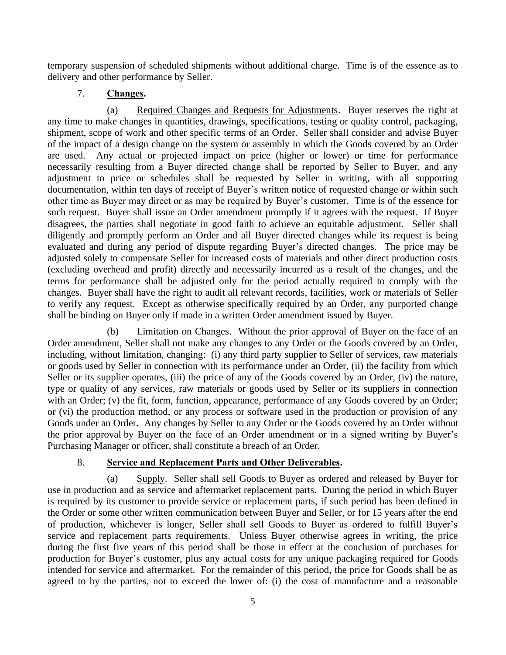temporary suspension of scheduled shipments without additional charge. Time is of the essence as to delivery and other performance by Seller.

# 7. **Changes.**

<span id="page-8-1"></span><span id="page-8-0"></span>(a) Required Changes and Requests for Adjustments. Buyer reserves the right at any time to make changes in quantities, drawings, specifications, testing or quality control, packaging, shipment, scope of work and other specific terms of an Order. Seller shall consider and advise Buyer of the impact of a design change on the system or assembly in which the Goods covered by an Order are used. Any actual or projected impact on price (higher or lower) or time for performance necessarily resulting from a Buyer directed change shall be reported by Seller to Buyer, and any adjustment to price or schedules shall be requested by Seller in writing, with all supporting documentation, within ten days of receipt of Buyer's written notice of requested change or within such other time as Buyer may direct or as may be required by Buyer's customer. Time is of the essence for such request. Buyer shall issue an Order amendment promptly if it agrees with the request. If Buyer disagrees, the parties shall negotiate in good faith to achieve an equitable adjustment. Seller shall diligently and promptly perform an Order and all Buyer directed changes while its request is being evaluated and during any period of dispute regarding Buyer's directed changes. The price may be adjusted solely to compensate Seller for increased costs of materials and other direct production costs (excluding overhead and profit) directly and necessarily incurred as a result of the changes, and the terms for performance shall be adjusted only for the period actually required to comply with the changes. Buyer shall have the right to audit all relevant records, facilities, work or materials of Seller to verify any request. Except as otherwise specifically required by an Order, any purported change shall be binding on Buyer only if made in a written Order amendment issued by Buyer.

<span id="page-8-2"></span>(b) Limitation on Changes. Without the prior approval of Buyer on the face of an Order amendment, Seller shall not make any changes to any Order or the Goods covered by an Order, including, without limitation, changing: (i) any third party supplier to Seller of services, raw materials or goods used by Seller in connection with its performance under an Order, (ii) the facility from which Seller or its supplier operates, (iii) the price of any of the Goods covered by an Order, (iv) the nature, type or quality of any services, raw materials or goods used by Seller or its suppliers in connection with an Order; (v) the fit, form, function, appearance, performance of any Goods covered by an Order; or (vi) the production method, or any process or software used in the production or provision of any Goods under an Order. Any changes by Seller to any Order or the Goods covered by an Order without the prior approval by Buyer on the face of an Order amendment or in a signed writing by Buyer's Purchasing Manager or officer, shall constitute a breach of an Order.

# 8. **Service and Replacement Parts and Other Deliverables.**

<span id="page-8-4"></span><span id="page-8-3"></span>(a) Supply. Seller shall sell Goods to Buyer as ordered and released by Buyer for use in production and as service and aftermarket replacement parts. During the period in which Buyer is required by its customer to provide service or replacement parts, if such period has been defined in the Order or some other written communication between Buyer and Seller, or for 15 years after the end of production, whichever is longer, Seller shall sell Goods to Buyer as ordered to fulfill Buyer's service and replacement parts requirements. Unless Buyer otherwise agrees in writing, the price during the first five years of this period shall be those in effect at the conclusion of purchases for production for Buyer's customer, plus any actual costs for any unique packaging required for Goods intended for service and aftermarket. For the remainder of this period, the price for Goods shall be as agreed to by the parties, not to exceed the lower of: (i) the cost of manufacture and a reasonable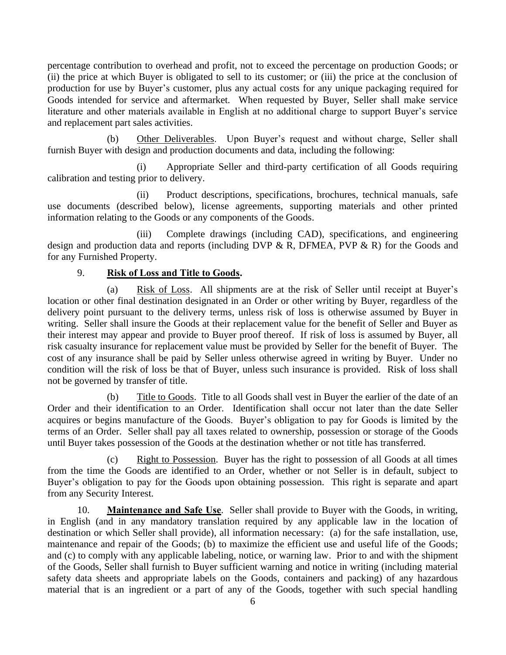percentage contribution to overhead and profit, not to exceed the percentage on production Goods; or (ii) the price at which Buyer is obligated to sell to its customer; or (iii) the price at the conclusion of production for use by Buyer's customer, plus any actual costs for any unique packaging required for Goods intended for service and aftermarket. When requested by Buyer, Seller shall make service literature and other materials available in English at no additional charge to support Buyer's service and replacement part sales activities.

<span id="page-9-0"></span>(b) Other Deliverables. Upon Buyer's request and without charge, Seller shall furnish Buyer with design and production documents and data, including the following:

(i) Appropriate Seller and third-party certification of all Goods requiring calibration and testing prior to delivery.

(ii) Product descriptions, specifications, brochures, technical manuals, safe use documents (described below), license agreements, supporting materials and other printed information relating to the Goods or any components of the Goods.

(iii) Complete drawings (including CAD), specifications, and engineering design and production data and reports (including DVP & R, DFMEA, PVP & R) for the Goods and for any Furnished Property.

# 9. **Risk of Loss and Title to Goods.**

<span id="page-9-2"></span><span id="page-9-1"></span>(a) Risk of Loss. All shipments are at the risk of Seller until receipt at Buyer's location or other final destination designated in an Order or other writing by Buyer, regardless of the delivery point pursuant to the delivery terms, unless risk of loss is otherwise assumed by Buyer in writing. Seller shall insure the Goods at their replacement value for the benefit of Seller and Buyer as their interest may appear and provide to Buyer proof thereof. If risk of loss is assumed by Buyer, all risk casualty insurance for replacement value must be provided by Seller for the benefit of Buyer. The cost of any insurance shall be paid by Seller unless otherwise agreed in writing by Buyer. Under no condition will the risk of loss be that of Buyer, unless such insurance is provided. Risk of loss shall not be governed by transfer of title.

<span id="page-9-3"></span>(b) Title to Goods. Title to all Goods shall vest in Buyer the earlier of the date of an Order and their identification to an Order. Identification shall occur not later than the date Seller acquires or begins manufacture of the Goods. Buyer's obligation to pay for Goods is limited by the terms of an Order. Seller shall pay all taxes related to ownership, possession or storage of the Goods until Buyer takes possession of the Goods at the destination whether or not title has transferred.

<span id="page-9-4"></span>(c) Right to Possession. Buyer has the right to possession of all Goods at all times from the time the Goods are identified to an Order, whether or not Seller is in default, subject to Buyer's obligation to pay for the Goods upon obtaining possession. This right is separate and apart from any Security Interest.

<span id="page-9-5"></span>10. **Maintenance and Safe Use**. Seller shall provide to Buyer with the Goods, in writing, in English (and in any mandatory translation required by any applicable law in the location of destination or which Seller shall provide), all information necessary: (a) for the safe installation, use, maintenance and repair of the Goods; (b) to maximize the efficient use and useful life of the Goods; and (c) to comply with any applicable labeling, notice, or warning law. Prior to and with the shipment of the Goods, Seller shall furnish to Buyer sufficient warning and notice in writing (including material safety data sheets and appropriate labels on the Goods, containers and packing) of any hazardous material that is an ingredient or a part of any of the Goods, together with such special handling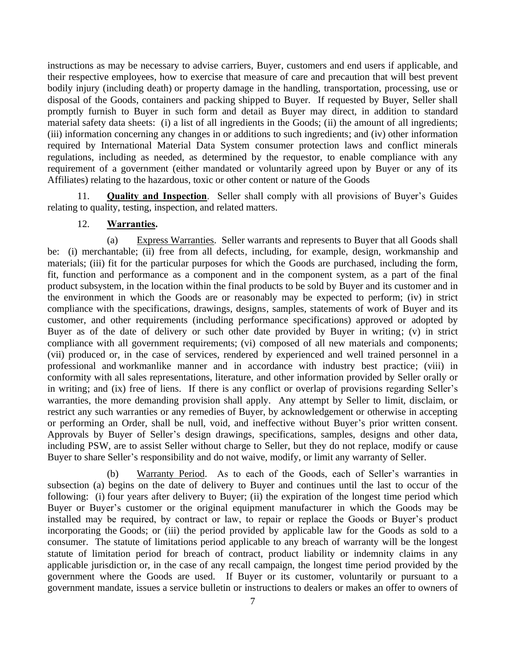instructions as may be necessary to advise carriers, Buyer, customers and end users if applicable, and their respective employees, how to exercise that measure of care and precaution that will best prevent bodily injury (including death) or property damage in the handling, transportation, processing, use or disposal of the Goods, containers and packing shipped to Buyer. If requested by Buyer, Seller shall promptly furnish to Buyer in such form and detail as Buyer may direct, in addition to standard material safety data sheets: (i) a list of all ingredients in the Goods; (ii) the amount of all ingredients; (iii) information concerning any changes in or additions to such ingredients; and (iv) other information required by International Material Data System consumer protection laws and conflict minerals regulations, including as needed, as determined by the requestor, to enable compliance with any requirement of a government (either mandated or voluntarily agreed upon by Buyer or any of its Affiliates) relating to the hazardous, toxic or other content or nature of the Goods

<span id="page-10-0"></span>11. **Quality and Inspection**. Seller shall comply with all provisions of Buyer's Guides relating to quality, testing, inspection, and related matters.

### 12. **Warranties.**

<span id="page-10-2"></span><span id="page-10-1"></span>(a) Express Warranties. Seller warrants and represents to Buyer that all Goods shall be: (i) merchantable; (ii) free from all defects, including, for example, design, workmanship and materials; (iii) fit for the particular purposes for which the Goods are purchased, including the form, fit, function and performance as a component and in the component system, as a part of the final product subsystem, in the location within the final products to be sold by Buyer and its customer and in the environment in which the Goods are or reasonably may be expected to perform; (iv) in strict compliance with the specifications, drawings, designs, samples, statements of work of Buyer and its customer, and other requirements (including performance specifications) approved or adopted by Buyer as of the date of delivery or such other date provided by Buyer in writing; (v) in strict compliance with all government requirements; (vi) composed of all new materials and components; (vii) produced or, in the case of services, rendered by experienced and well trained personnel in a professional and workmanlike manner and in accordance with industry best practice; (viii) in conformity with all sales representations, literature, and other information provided by Seller orally or in writing; and (ix) free of liens. If there is any conflict or overlap of provisions regarding Seller's warranties, the more demanding provision shall apply. Any attempt by Seller to limit, disclaim, or restrict any such warranties or any remedies of Buyer, by acknowledgement or otherwise in accepting or performing an Order, shall be null, void, and ineffective without Buyer's prior written consent. Approvals by Buyer of Seller's design drawings, specifications, samples, designs and other data, including PSW, are to assist Seller without charge to Seller, but they do not replace, modify or cause Buyer to share Seller's responsibility and do not waive, modify, or limit any warranty of Seller.

<span id="page-10-3"></span>(b) Warranty Period. As to each of the Goods, each of Seller's warranties in subsection (a) begins on the date of delivery to Buyer and continues until the last to occur of the following: (i) four years after delivery to Buyer; (ii) the expiration of the longest time period which Buyer or Buyer's customer or the original equipment manufacturer in which the Goods may be installed may be required, by contract or law, to repair or replace the Goods or Buyer's product incorporating the Goods; or (iii) the period provided by applicable law for the Goods as sold to a consumer. The statute of limitations period applicable to any breach of warranty will be the longest statute of limitation period for breach of contract, product liability or indemnity claims in any applicable jurisdiction or, in the case of any recall campaign, the longest time period provided by the government where the Goods are used. If Buyer or its customer, voluntarily or pursuant to a government mandate, issues a service bulletin or instructions to dealers or makes an offer to owners of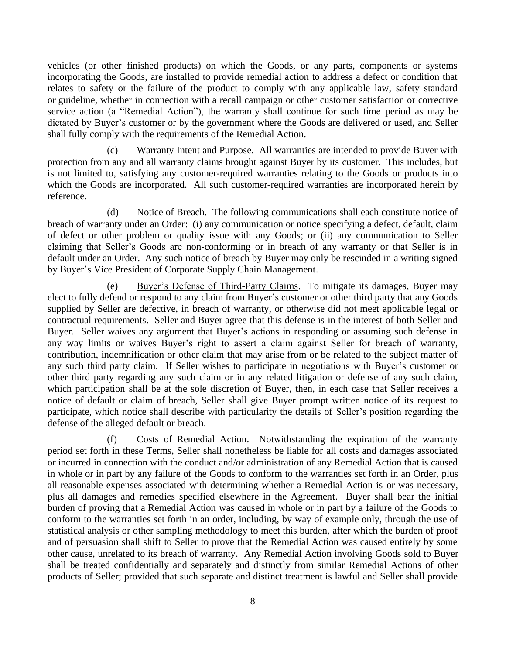vehicles (or other finished products) on which the Goods, or any parts, components or systems incorporating the Goods, are installed to provide remedial action to address a defect or condition that relates to safety or the failure of the product to comply with any applicable law, safety standard or guideline, whether in connection with a recall campaign or other customer satisfaction or corrective service action (a "Remedial Action"), the warranty shall continue for such time period as may be dictated by Buyer's customer or by the government where the Goods are delivered or used, and Seller shall fully comply with the requirements of the Remedial Action.

<span id="page-11-0"></span>(c) Warranty Intent and Purpose. All warranties are intended to provide Buyer with protection from any and all warranty claims brought against Buyer by its customer. This includes, but is not limited to, satisfying any customer-required warranties relating to the Goods or products into which the Goods are incorporated. All such customer-required warranties are incorporated herein by reference.

<span id="page-11-1"></span>(d) Notice of Breach. The following communications shall each constitute notice of breach of warranty under an Order: (i) any communication or notice specifying a defect, default, claim of defect or other problem or quality issue with any Goods; or (ii) any communication to Seller claiming that Seller's Goods are non-conforming or in breach of any warranty or that Seller is in default under an Order. Any such notice of breach by Buyer may only be rescinded in a writing signed by Buyer's Vice President of Corporate Supply Chain Management.

<span id="page-11-2"></span>(e) Buyer's Defense of Third-Party Claims. To mitigate its damages, Buyer may elect to fully defend or respond to any claim from Buyer's customer or other third party that any Goods supplied by Seller are defective, in breach of warranty, or otherwise did not meet applicable legal or contractual requirements. Seller and Buyer agree that this defense is in the interest of both Seller and Buyer. Seller waives any argument that Buyer's actions in responding or assuming such defense in any way limits or waives Buyer's right to assert a claim against Seller for breach of warranty, contribution, indemnification or other claim that may arise from or be related to the subject matter of any such third party claim. If Seller wishes to participate in negotiations with Buyer's customer or other third party regarding any such claim or in any related litigation or defense of any such claim, which participation shall be at the sole discretion of Buyer, then, in each case that Seller receives a notice of default or claim of breach, Seller shall give Buyer prompt written notice of its request to participate, which notice shall describe with particularity the details of Seller's position regarding the defense of the alleged default or breach.

<span id="page-11-3"></span>(f) Costs of Remedial Action. Notwithstanding the expiration of the warranty period set forth in these Terms, Seller shall nonetheless be liable for all costs and damages associated or incurred in connection with the conduct and/or administration of any Remedial Action that is caused in whole or in part by any failure of the Goods to conform to the warranties set forth in an Order, plus all reasonable expenses associated with determining whether a Remedial Action is or was necessary, plus all damages and remedies specified elsewhere in the Agreement. Buyer shall bear the initial burden of proving that a Remedial Action was caused in whole or in part by a failure of the Goods to conform to the warranties set forth in an order, including, by way of example only, through the use of statistical analysis or other sampling methodology to meet this burden, after which the burden of proof and of persuasion shall shift to Seller to prove that the Remedial Action was caused entirely by some other cause, unrelated to its breach of warranty. Any Remedial Action involving Goods sold to Buyer shall be treated confidentially and separately and distinctly from similar Remedial Actions of other products of Seller; provided that such separate and distinct treatment is lawful and Seller shall provide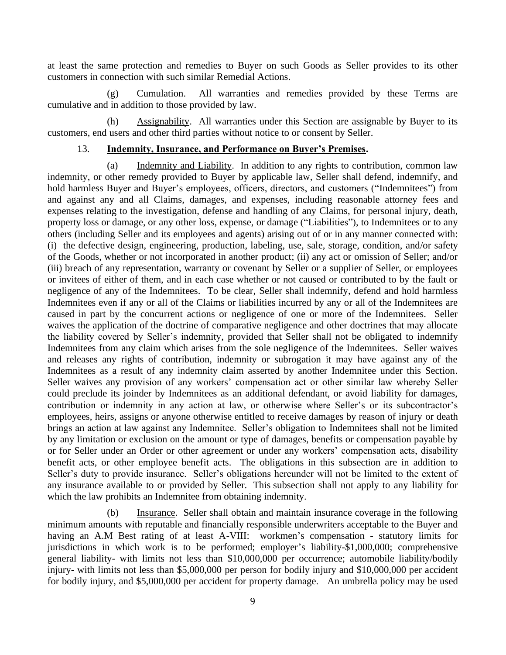at least the same protection and remedies to Buyer on such Goods as Seller provides to its other customers in connection with such similar Remedial Actions.

<span id="page-12-0"></span>(g) Cumulation. All warranties and remedies provided by these Terms are cumulative and in addition to those provided by law.

<span id="page-12-1"></span>(h) Assignability. All warranties under this Section are assignable by Buyer to its customers, end users and other third parties without notice to or consent by Seller.

#### 13. **Indemnity, Insurance, and Performance on Buyer's Premises.**

<span id="page-12-3"></span><span id="page-12-2"></span>(a) Indemnity and Liability. In addition to any rights to contribution, common law indemnity, or other remedy provided to Buyer by applicable law, Seller shall defend, indemnify, and hold harmless Buyer and Buyer's employees, officers, directors, and customers ("Indemnitees") from and against any and all Claims, damages, and expenses, including reasonable attorney fees and expenses relating to the investigation, defense and handling of any Claims, for personal injury, death, property loss or damage, or any other loss, expense, or damage ("Liabilities"), to Indemnitees or to any others (including Seller and its employees and agents) arising out of or in any manner connected with: (i) the defective design, engineering, production, labeling, use, sale, storage, condition, and/or safety of the Goods, whether or not incorporated in another product; (ii) any act or omission of Seller; and/or (iii) breach of any representation, warranty or covenant by Seller or a supplier of Seller, or employees or invitees of either of them, and in each case whether or not caused or contributed to by the fault or negligence of any of the Indemnitees. To be clear, Seller shall indemnify, defend and hold harmless Indemnitees even if any or all of the Claims or liabilities incurred by any or all of the Indemnitees are caused in part by the concurrent actions or negligence of one or more of the Indemnitees. Seller waives the application of the doctrine of comparative negligence and other doctrines that may allocate the liability covered by Seller's indemnity, provided that Seller shall not be obligated to indemnify Indemnitees from any claim which arises from the sole negligence of the Indemnitees. Seller waives and releases any rights of contribution, indemnity or subrogation it may have against any of the Indemnitees as a result of any indemnity claim asserted by another Indemnitee under this Section. Seller waives any provision of any workers' compensation act or other similar law whereby Seller could preclude its joinder by Indemnitees as an additional defendant, or avoid liability for damages, contribution or indemnity in any action at law, or otherwise where Seller's or its subcontractor's employees, heirs, assigns or anyone otherwise entitled to receive damages by reason of injury or death brings an action at law against any Indemnitee. Seller's obligation to Indemnitees shall not be limited by any limitation or exclusion on the amount or type of damages, benefits or compensation payable by or for Seller under an Order or other agreement or under any workers' compensation acts, disability benefit acts, or other employee benefit acts. The obligations in this subsection are in addition to Seller's duty to provide insurance. Seller's obligations hereunder will not be limited to the extent of any insurance available to or provided by Seller. This subsection shall not apply to any liability for which the law prohibits an Indemnitee from obtaining indemnity.

<span id="page-12-4"></span>(b) Insurance. Seller shall obtain and maintain insurance coverage in the following minimum amounts with reputable and financially responsible underwriters acceptable to the Buyer and having an A.M Best rating of at least A-VIII: workmen's compensation - statutory limits for jurisdictions in which work is to be performed; employer's liability-\$1,000,000; comprehensive general liability- with limits not less than \$10,000,000 per occurrence; automobile liability/bodily injury- with limits not less than \$5,000,000 per person for bodily injury and \$10,000,000 per accident for bodily injury, and \$5,000,000 per accident for property damage. An umbrella policy may be used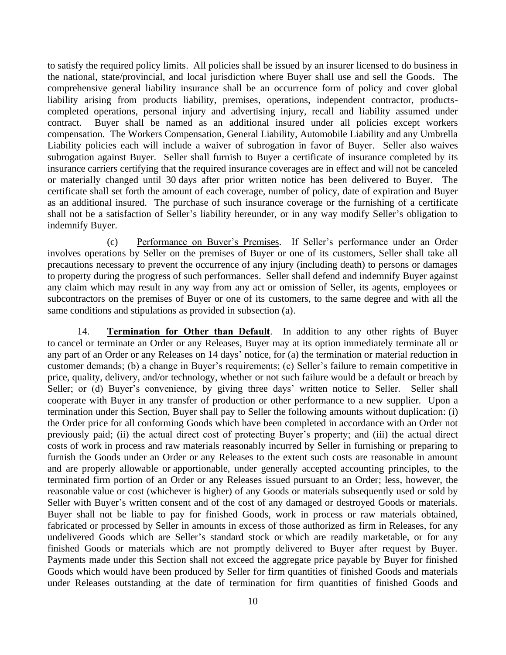to satisfy the required policy limits. All policies shall be issued by an insurer licensed to do business in the national, state/provincial, and local jurisdiction where Buyer shall use and sell the Goods. The comprehensive general liability insurance shall be an occurrence form of policy and cover global liability arising from products liability, premises, operations, independent contractor, productscompleted operations, personal injury and advertising injury, recall and liability assumed under contract. Buyer shall be named as an additional insured under all policies except workers compensation. The Workers Compensation, General Liability, Automobile Liability and any Umbrella Liability policies each will include a waiver of subrogation in favor of Buyer. Seller also waives subrogation against Buyer. Seller shall furnish to Buyer a certificate of insurance completed by its insurance carriers certifying that the required insurance coverages are in effect and will not be canceled or materially changed until 30 days after prior written notice has been delivered to Buyer. The certificate shall set forth the amount of each coverage, number of policy, date of expiration and Buyer as an additional insured. The purchase of such insurance coverage or the furnishing of a certificate shall not be a satisfaction of Seller's liability hereunder, or in any way modify Seller's obligation to indemnify Buyer.

<span id="page-13-0"></span>(c) Performance on Buyer's Premises. If Seller's performance under an Order involves operations by Seller on the premises of Buyer or one of its customers, Seller shall take all precautions necessary to prevent the occurrence of any injury (including death) to persons or damages to property during the progress of such performances. Seller shall defend and indemnify Buyer against any claim which may result in any way from any act or omission of Seller, its agents, employees or subcontractors on the premises of Buyer or one of its customers, to the same degree and with all the same conditions and stipulations as provided in subsection (a).

<span id="page-13-1"></span>14. **Termination for Other than Default**. In addition to any other rights of Buyer to cancel or terminate an Order or any Releases, Buyer may at its option immediately terminate all or any part of an Order or any Releases on 14 days' notice, for (a) the termination or material reduction in customer demands; (b) a change in Buyer's requirements; (c) Seller's failure to remain competitive in price, quality, delivery, and/or technology, whether or not such failure would be a default or breach by Seller; or (d) Buyer's convenience, by giving three days' written notice to Seller. Seller shall cooperate with Buyer in any transfer of production or other performance to a new supplier. Upon a termination under this Section, Buyer shall pay to Seller the following amounts without duplication: (i) the Order price for all conforming Goods which have been completed in accordance with an Order not previously paid; (ii) the actual direct cost of protecting Buyer's property; and (iii) the actual direct costs of work in process and raw materials reasonably incurred by Seller in furnishing or preparing to furnish the Goods under an Order or any Releases to the extent such costs are reasonable in amount and are properly allowable or apportionable, under generally accepted accounting principles, to the terminated firm portion of an Order or any Releases issued pursuant to an Order; less, however, the reasonable value or cost (whichever is higher) of any Goods or materials subsequently used or sold by Seller with Buyer's written consent and of the cost of any damaged or destroyed Goods or materials. Buyer shall not be liable to pay for finished Goods, work in process or raw materials obtained, fabricated or processed by Seller in amounts in excess of those authorized as firm in Releases, for any undelivered Goods which are Seller's standard stock or which are readily marketable, or for any finished Goods or materials which are not promptly delivered to Buyer after request by Buyer. Payments made under this Section shall not exceed the aggregate price payable by Buyer for finished Goods which would have been produced by Seller for firm quantities of finished Goods and materials under Releases outstanding at the date of termination for firm quantities of finished Goods and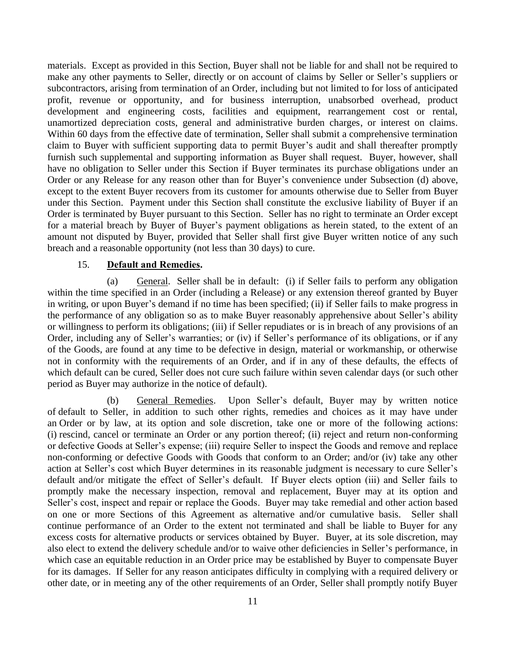materials. Except as provided in this Section, Buyer shall not be liable for and shall not be required to make any other payments to Seller, directly or on account of claims by Seller or Seller's suppliers or subcontractors, arising from termination of an Order, including but not limited to for loss of anticipated profit, revenue or opportunity, and for business interruption, unabsorbed overhead, product development and engineering costs, facilities and equipment, rearrangement cost or rental, unamortized depreciation costs, general and administrative burden charges, or interest on claims. Within 60 days from the effective date of termination, Seller shall submit a comprehensive termination claim to Buyer with sufficient supporting data to permit Buyer's audit and shall thereafter promptly furnish such supplemental and supporting information as Buyer shall request. Buyer, however, shall have no obligation to Seller under this Section if Buyer terminates its purchase obligations under an Order or any Release for any reason other than for Buyer's convenience under Subsection (d) above, except to the extent Buyer recovers from its customer for amounts otherwise due to Seller from Buyer under this Section. Payment under this Section shall constitute the exclusive liability of Buyer if an Order is terminated by Buyer pursuant to this Section. Seller has no right to terminate an Order except for a material breach by Buyer of Buyer's payment obligations as herein stated, to the extent of an amount not disputed by Buyer, provided that Seller shall first give Buyer written notice of any such breach and a reasonable opportunity (not less than 30 days) to cure.

### 15. **Default and Remedies.**

<span id="page-14-1"></span><span id="page-14-0"></span>(a) General. Seller shall be in default: (i) if Seller fails to perform any obligation within the time specified in an Order (including a Release) or any extension thereof granted by Buyer in writing, or upon Buyer's demand if no time has been specified; (ii) if Seller fails to make progress in the performance of any obligation so as to make Buyer reasonably apprehensive about Seller's ability or willingness to perform its obligations; (iii) if Seller repudiates or is in breach of any provisions of an Order, including any of Seller's warranties; or (iv) if Seller's performance of its obligations, or if any of the Goods, are found at any time to be defective in design, material or workmanship, or otherwise not in conformity with the requirements of an Order, and if in any of these defaults, the effects of which default can be cured, Seller does not cure such failure within seven calendar days (or such other period as Buyer may authorize in the notice of default).

<span id="page-14-2"></span>(b) General Remedies. Upon Seller's default, Buyer may by written notice of default to Seller, in addition to such other rights, remedies and choices as it may have under an Order or by law, at its option and sole discretion, take one or more of the following actions: (i) rescind, cancel or terminate an Order or any portion thereof; (ii) reject and return non-conforming or defective Goods at Seller's expense; (iii) require Seller to inspect the Goods and remove and replace non-conforming or defective Goods with Goods that conform to an Order; and/or (iv) take any other action at Seller's cost which Buyer determines in its reasonable judgment is necessary to cure Seller's default and/or mitigate the effect of Seller's default. If Buyer elects option (iii) and Seller fails to promptly make the necessary inspection, removal and replacement, Buyer may at its option and Seller's cost, inspect and repair or replace the Goods. Buyer may take remedial and other action based on one or more Sections of this Agreement as alternative and/or cumulative basis. Seller shall continue performance of an Order to the extent not terminated and shall be liable to Buyer for any excess costs for alternative products or services obtained by Buyer. Buyer, at its sole discretion, may also elect to extend the delivery schedule and/or to waive other deficiencies in Seller's performance, in which case an equitable reduction in an Order price may be established by Buyer to compensate Buyer for its damages. If Seller for any reason anticipates difficulty in complying with a required delivery or other date, or in meeting any of the other requirements of an Order, Seller shall promptly notify Buyer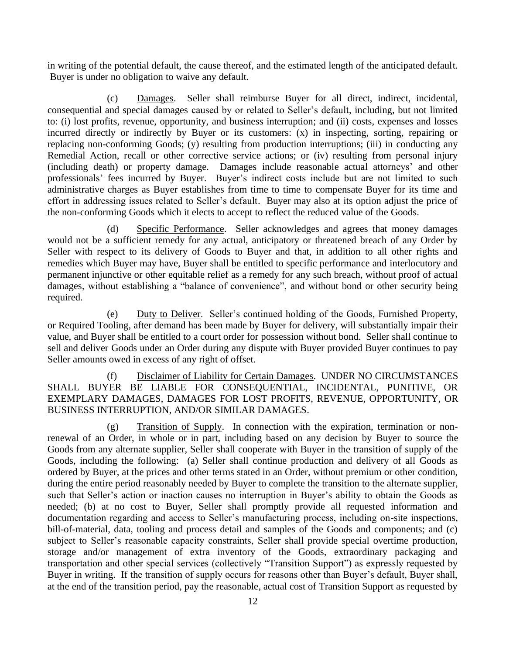in writing of the potential default, the cause thereof, and the estimated length of the anticipated default. Buyer is under no obligation to waive any default.

<span id="page-15-0"></span>(c) Damages. Seller shall reimburse Buyer for all direct, indirect, incidental, consequential and special damages caused by or related to Seller's default, including, but not limited to: (i) lost profits, revenue, opportunity, and business interruption; and (ii) costs, expenses and losses incurred directly or indirectly by Buyer or its customers: (x) in inspecting, sorting, repairing or replacing non-conforming Goods; (y) resulting from production interruptions; (iii) in conducting any Remedial Action, recall or other corrective service actions; or (iv) resulting from personal injury (including death) or property damage. Damages include reasonable actual attorneys' and other professionals' fees incurred by Buyer. Buyer's indirect costs include but are not limited to such administrative charges as Buyer establishes from time to time to compensate Buyer for its time and effort in addressing issues related to Seller's default. Buyer may also at its option adjust the price of the non-conforming Goods which it elects to accept to reflect the reduced value of the Goods.

<span id="page-15-1"></span>(d) Specific Performance. Seller acknowledges and agrees that money damages would not be a sufficient remedy for any actual, anticipatory or threatened breach of any Order by Seller with respect to its delivery of Goods to Buyer and that, in addition to all other rights and remedies which Buyer may have, Buyer shall be entitled to specific performance and interlocutory and permanent injunctive or other equitable relief as a remedy for any such breach, without proof of actual damages, without establishing a "balance of convenience", and without bond or other security being required.

<span id="page-15-2"></span>(e) Duty to Deliver. Seller's continued holding of the Goods, Furnished Property, or Required Tooling, after demand has been made by Buyer for delivery, will substantially impair their value, and Buyer shall be entitled to a court order for possession without bond. Seller shall continue to sell and deliver Goods under an Order during any dispute with Buyer provided Buyer continues to pay Seller amounts owed in excess of any right of offset.

<span id="page-15-3"></span>(f) Disclaimer of Liability for Certain Damages. UNDER NO CIRCUMSTANCES SHALL BUYER BE LIABLE FOR CONSEQUENTIAL, INCIDENTAL, PUNITIVE, OR EXEMPLARY DAMAGES, DAMAGES FOR LOST PROFITS, REVENUE, OPPORTUNITY, OR BUSINESS INTERRUPTION, AND/OR SIMILAR DAMAGES.

<span id="page-15-4"></span>(g) Transition of Supply. In connection with the expiration, termination or nonrenewal of an Order, in whole or in part, including based on any decision by Buyer to source the Goods from any alternate supplier, Seller shall cooperate with Buyer in the transition of supply of the Goods, including the following: (a) Seller shall continue production and delivery of all Goods as ordered by Buyer, at the prices and other terms stated in an Order, without premium or other condition, during the entire period reasonably needed by Buyer to complete the transition to the alternate supplier, such that Seller's action or inaction causes no interruption in Buyer's ability to obtain the Goods as needed; (b) at no cost to Buyer, Seller shall promptly provide all requested information and documentation regarding and access to Seller's manufacturing process, including on-site inspections, bill-of-material, data, tooling and process detail and samples of the Goods and components; and (c) subject to Seller's reasonable capacity constraints, Seller shall provide special overtime production, storage and/or management of extra inventory of the Goods, extraordinary packaging and transportation and other special services (collectively "Transition Support") as expressly requested by Buyer in writing. If the transition of supply occurs for reasons other than Buyer's default, Buyer shall, at the end of the transition period, pay the reasonable, actual cost of Transition Support as requested by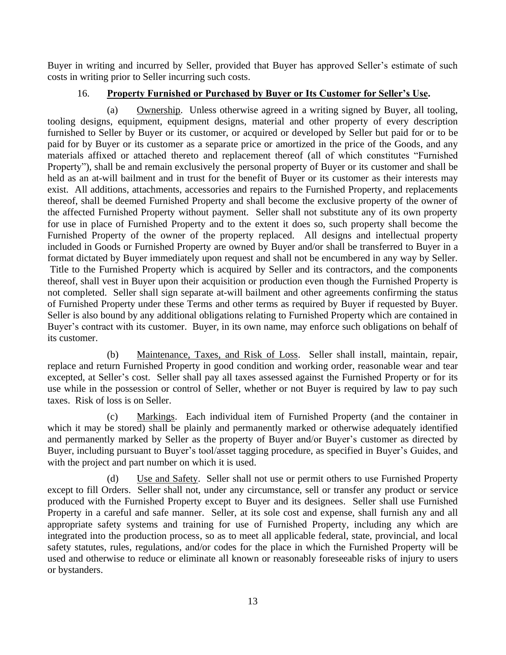Buyer in writing and incurred by Seller, provided that Buyer has approved Seller's estimate of such costs in writing prior to Seller incurring such costs.

## 16. **Property Furnished or Purchased by Buyer or Its Customer for Seller's Use.**

<span id="page-16-1"></span><span id="page-16-0"></span>(a) Ownership. Unless otherwise agreed in a writing signed by Buyer, all tooling, tooling designs, equipment, equipment designs, material and other property of every description furnished to Seller by Buyer or its customer, or acquired or developed by Seller but paid for or to be paid for by Buyer or its customer as a separate price or amortized in the price of the Goods, and any materials affixed or attached thereto and replacement thereof (all of which constitutes "Furnished Property"), shall be and remain exclusively the personal property of Buyer or its customer and shall be held as an at-will bailment and in trust for the benefit of Buyer or its customer as their interests may exist. All additions, attachments, accessories and repairs to the Furnished Property, and replacements thereof, shall be deemed Furnished Property and shall become the exclusive property of the owner of the affected Furnished Property without payment. Seller shall not substitute any of its own property for use in place of Furnished Property and to the extent it does so, such property shall become the Furnished Property of the owner of the property replaced. All designs and intellectual property included in Goods or Furnished Property are owned by Buyer and/or shall be transferred to Buyer in a format dictated by Buyer immediately upon request and shall not be encumbered in any way by Seller. Title to the Furnished Property which is acquired by Seller and its contractors, and the components thereof, shall vest in Buyer upon their acquisition or production even though the Furnished Property is not completed. Seller shall sign separate at-will bailment and other agreements confirming the status of Furnished Property under these Terms and other terms as required by Buyer if requested by Buyer. Seller is also bound by any additional obligations relating to Furnished Property which are contained in Buyer's contract with its customer. Buyer, in its own name, may enforce such obligations on behalf of its customer.

<span id="page-16-2"></span>(b) Maintenance, Taxes, and Risk of Loss. Seller shall install, maintain, repair, replace and return Furnished Property in good condition and working order, reasonable wear and tear excepted, at Seller's cost. Seller shall pay all taxes assessed against the Furnished Property or for its use while in the possession or control of Seller, whether or not Buyer is required by law to pay such taxes. Risk of loss is on Seller.

<span id="page-16-3"></span>(c) Markings. Each individual item of Furnished Property (and the container in which it may be stored) shall be plainly and permanently marked or otherwise adequately identified and permanently marked by Seller as the property of Buyer and/or Buyer's customer as directed by Buyer, including pursuant to Buyer's tool/asset tagging procedure, as specified in Buyer's Guides, and with the project and part number on which it is used.

<span id="page-16-4"></span>(d) Use and Safety. Seller shall not use or permit others to use Furnished Property except to fill Orders. Seller shall not, under any circumstance, sell or transfer any product or service produced with the Furnished Property except to Buyer and its designees. Seller shall use Furnished Property in a careful and safe manner. Seller, at its sole cost and expense, shall furnish any and all appropriate safety systems and training for use of Furnished Property, including any which are integrated into the production process, so as to meet all applicable federal, state, provincial, and local safety statutes, rules, regulations, and/or codes for the place in which the Furnished Property will be used and otherwise to reduce or eliminate all known or reasonably foreseeable risks of injury to users or bystanders.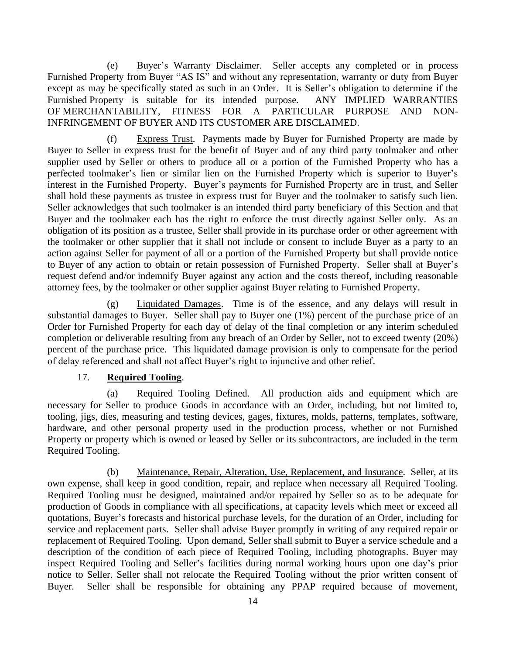<span id="page-17-0"></span>(e) Buyer's Warranty Disclaimer. Seller accepts any completed or in process Furnished Property from Buyer "AS IS" and without any representation, warranty or duty from Buyer except as may be specifically stated as such in an Order. It is Seller's obligation to determine if the Furnished Property is suitable for its intended purpose. ANY IMPLIED WARRANTIES OF MERCHANTABILITY, FITNESS FOR A PARTICULAR PURPOSE AND NON-INFRINGEMENT OF BUYER AND ITS CUSTOMER ARE DISCLAIMED.

<span id="page-17-1"></span>(f) Express Trust. Payments made by Buyer for Furnished Property are made by Buyer to Seller in express trust for the benefit of Buyer and of any third party toolmaker and other supplier used by Seller or others to produce all or a portion of the Furnished Property who has a perfected toolmaker's lien or similar lien on the Furnished Property which is superior to Buyer's interest in the Furnished Property. Buyer's payments for Furnished Property are in trust, and Seller shall hold these payments as trustee in express trust for Buyer and the toolmaker to satisfy such lien. Seller acknowledges that such toolmaker is an intended third party beneficiary of this Section and that Buyer and the toolmaker each has the right to enforce the trust directly against Seller only. As an obligation of its position as a trustee, Seller shall provide in its purchase order or other agreement with the toolmaker or other supplier that it shall not include or consent to include Buyer as a party to an action against Seller for payment of all or a portion of the Furnished Property but shall provide notice to Buyer of any action to obtain or retain possession of Furnished Property. Seller shall at Buyer's request defend and/or indemnify Buyer against any action and the costs thereof, including reasonable attorney fees, by the toolmaker or other supplier against Buyer relating to Furnished Property.

<span id="page-17-2"></span>(g) Liquidated Damages. Time is of the essence, and any delays will result in substantial damages to Buyer. Seller shall pay to Buyer one (1%) percent of the purchase price of an Order for Furnished Property for each day of delay of the final completion or any interim scheduled completion or deliverable resulting from any breach of an Order by Seller, not to exceed twenty (20%) percent of the purchase price. This liquidated damage provision is only to compensate for the period of delay referenced and shall not affect Buyer's right to injunctive and other relief.

### 17. **Required Tooling**.

<span id="page-17-4"></span><span id="page-17-3"></span>(a) Required Tooling Defined. All production aids and equipment which are necessary for Seller to produce Goods in accordance with an Order, including, but not limited to, tooling, jigs, dies, measuring and testing devices, gages, fixtures, molds, patterns, templates, software, hardware, and other personal property used in the production process, whether or not Furnished Property or property which is owned or leased by Seller or its subcontractors, are included in the term Required Tooling.

<span id="page-17-5"></span>(b) Maintenance, Repair, Alteration, Use, Replacement, and Insurance. Seller, at its own expense, shall keep in good condition, repair, and replace when necessary all Required Tooling. Required Tooling must be designed, maintained and/or repaired by Seller so as to be adequate for production of Goods in compliance with all specifications, at capacity levels which meet or exceed all quotations, Buyer's forecasts and historical purchase levels, for the duration of an Order, including for service and replacement parts. Seller shall advise Buyer promptly in writing of any required repair or replacement of Required Tooling. Upon demand, Seller shall submit to Buyer a service schedule and a description of the condition of each piece of Required Tooling, including photographs. Buyer may inspect Required Tooling and Seller's facilities during normal working hours upon one day's prior notice to Seller. Seller shall not relocate the Required Tooling without the prior written consent of Buyer. Seller shall be responsible for obtaining any PPAP required because of movement,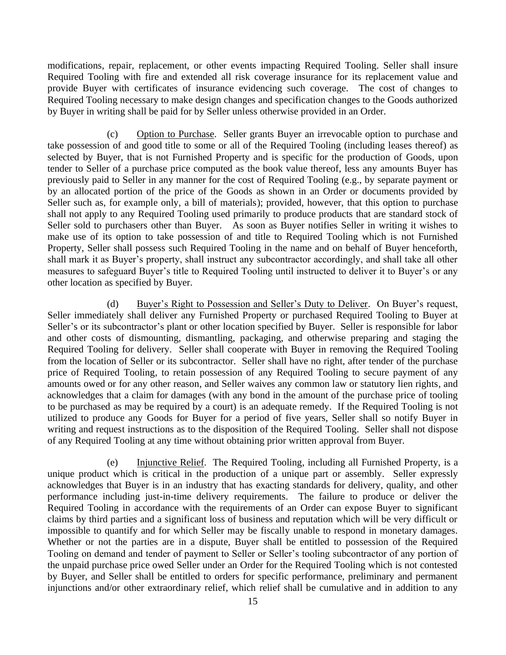modifications, repair, replacement, or other events impacting Required Tooling. Seller shall insure Required Tooling with fire and extended all risk coverage insurance for its replacement value and provide Buyer with certificates of insurance evidencing such coverage. The cost of changes to Required Tooling necessary to make design changes and specification changes to the Goods authorized by Buyer in writing shall be paid for by Seller unless otherwise provided in an Order.

<span id="page-18-0"></span>(c) Option to Purchase. Seller grants Buyer an irrevocable option to purchase and take possession of and good title to some or all of the Required Tooling (including leases thereof) as selected by Buyer, that is not Furnished Property and is specific for the production of Goods, upon tender to Seller of a purchase price computed as the book value thereof, less any amounts Buyer has previously paid to Seller in any manner for the cost of Required Tooling (e.g., by separate payment or by an allocated portion of the price of the Goods as shown in an Order or documents provided by Seller such as, for example only, a bill of materials); provided, however, that this option to purchase shall not apply to any Required Tooling used primarily to produce products that are standard stock of Seller sold to purchasers other than Buyer. As soon as Buyer notifies Seller in writing it wishes to make use of its option to take possession of and title to Required Tooling which is not Furnished Property, Seller shall possess such Required Tooling in the name and on behalf of Buyer henceforth, shall mark it as Buyer's property, shall instruct any subcontractor accordingly, and shall take all other measures to safeguard Buyer's title to Required Tooling until instructed to deliver it to Buyer's or any other location as specified by Buyer.

<span id="page-18-1"></span>(d) Buyer's Right to Possession and Seller's Duty to Deliver. On Buyer's request, Seller immediately shall deliver any Furnished Property or purchased Required Tooling to Buyer at Seller's or its subcontractor's plant or other location specified by Buyer. Seller is responsible for labor and other costs of dismounting, dismantling, packaging, and otherwise preparing and staging the Required Tooling for delivery. Seller shall cooperate with Buyer in removing the Required Tooling from the location of Seller or its subcontractor. Seller shall have no right, after tender of the purchase price of Required Tooling, to retain possession of any Required Tooling to secure payment of any amounts owed or for any other reason, and Seller waives any common law or statutory lien rights, and acknowledges that a claim for damages (with any bond in the amount of the purchase price of tooling to be purchased as may be required by a court) is an adequate remedy. If the Required Tooling is not utilized to produce any Goods for Buyer for a period of five years, Seller shall so notify Buyer in writing and request instructions as to the disposition of the Required Tooling. Seller shall not dispose of any Required Tooling at any time without obtaining prior written approval from Buyer.

<span id="page-18-2"></span>(e) Injunctive Relief. The Required Tooling, including all Furnished Property, is a unique product which is critical in the production of a unique part or assembly. Seller expressly acknowledges that Buyer is in an industry that has exacting standards for delivery, quality, and other performance including just-in-time delivery requirements. The failure to produce or deliver the Required Tooling in accordance with the requirements of an Order can expose Buyer to significant claims by third parties and a significant loss of business and reputation which will be very difficult or impossible to quantify and for which Seller may be fiscally unable to respond in monetary damages. Whether or not the parties are in a dispute, Buyer shall be entitled to possession of the Required Tooling on demand and tender of payment to Seller or Seller's tooling subcontractor of any portion of the unpaid purchase price owed Seller under an Order for the Required Tooling which is not contested by Buyer, and Seller shall be entitled to orders for specific performance, preliminary and permanent injunctions and/or other extraordinary relief, which relief shall be cumulative and in addition to any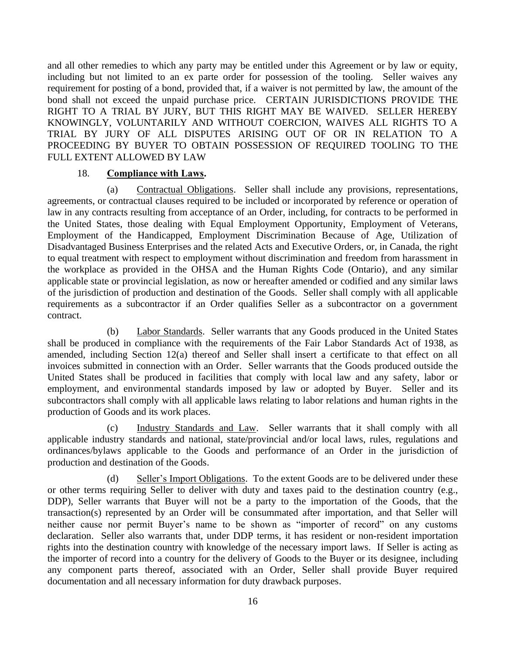and all other remedies to which any party may be entitled under this Agreement or by law or equity, including but not limited to an ex parte order for possession of the tooling. Seller waives any requirement for posting of a bond, provided that, if a waiver is not permitted by law, the amount of the bond shall not exceed the unpaid purchase price. CERTAIN JURISDICTIONS PROVIDE THE RIGHT TO A TRIAL BY JURY, BUT THIS RIGHT MAY BE WAIVED. SELLER HEREBY KNOWINGLY, VOLUNTARILY AND WITHOUT COERCION, WAIVES ALL RIGHTS TO A TRIAL BY JURY OF ALL DISPUTES ARISING OUT OF OR IN RELATION TO A PROCEEDING BY BUYER TO OBTAIN POSSESSION OF REQUIRED TOOLING TO THE FULL EXTENT ALLOWED BY LAW

#### 18. **Compliance with Laws.**

<span id="page-19-1"></span><span id="page-19-0"></span>(a) Contractual Obligations. Seller shall include any provisions, representations, agreements, or contractual clauses required to be included or incorporated by reference or operation of law in any contracts resulting from acceptance of an Order, including, for contracts to be performed in the United States, those dealing with Equal Employment Opportunity, Employment of Veterans, Employment of the Handicapped, Employment Discrimination Because of Age, Utilization of Disadvantaged Business Enterprises and the related Acts and Executive Orders, or, in Canada, the right to equal treatment with respect to employment without discrimination and freedom from harassment in the workplace as provided in the OHSA and the Human Rights Code (Ontario), and any similar applicable state or provincial legislation, as now or hereafter amended or codified and any similar laws of the jurisdiction of production and destination of the Goods. Seller shall comply with all applicable requirements as a subcontractor if an Order qualifies Seller as a subcontractor on a government contract.

<span id="page-19-2"></span>(b) Labor Standards. Seller warrants that any Goods produced in the United States shall be produced in compliance with the requirements of the Fair Labor Standards Act of 1938, as amended, including Section 12(a) thereof and Seller shall insert a certificate to that effect on all invoices submitted in connection with an Order. Seller warrants that the Goods produced outside the United States shall be produced in facilities that comply with local law and any safety, labor or employment, and environmental standards imposed by law or adopted by Buyer. Seller and its subcontractors shall comply with all applicable laws relating to labor relations and human rights in the production of Goods and its work places.

<span id="page-19-3"></span>(c) Industry Standards and Law. Seller warrants that it shall comply with all applicable industry standards and national, state/provincial and/or local laws, rules, regulations and ordinances/bylaws applicable to the Goods and performance of an Order in the jurisdiction of production and destination of the Goods.

<span id="page-19-4"></span>(d) Seller's Import Obligations. To the extent Goods are to be delivered under these or other terms requiring Seller to deliver with duty and taxes paid to the destination country (e.g., DDP), Seller warrants that Buyer will not be a party to the importation of the Goods, that the transaction(s) represented by an Order will be consummated after importation, and that Seller will neither cause nor permit Buyer's name to be shown as "importer of record" on any customs declaration. Seller also warrants that, under DDP terms, it has resident or non-resident importation rights into the destination country with knowledge of the necessary import laws. If Seller is acting as the importer of record into a country for the delivery of Goods to the Buyer or its designee, including any component parts thereof, associated with an Order, Seller shall provide Buyer required documentation and all necessary information for duty drawback purposes.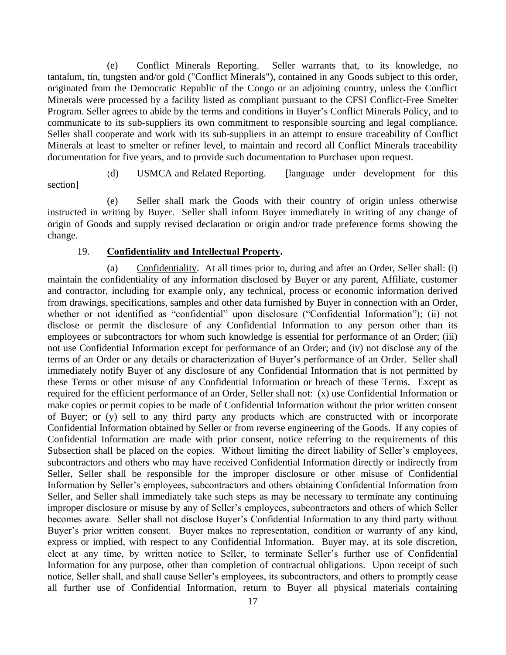<span id="page-20-0"></span>(e) Conflict Minerals Reporting. Seller warrants that, to its knowledge, no tantalum, tin, tungsten and/or gold ("Conflict Minerals"), contained in any Goods subject to this order, originated from the Democratic Republic of the Congo or an adjoining country, unless the Conflict Minerals were processed by a facility listed as compliant pursuant to the CFSI Conflict-Free Smelter Program. Seller agrees to abide by the terms and conditions in Buyer's Conflict Minerals Policy, and to communicate to its sub-suppliers its own commitment to responsible sourcing and legal compliance. Seller shall cooperate and work with its sub-suppliers in an attempt to ensure traceability of Conflict Minerals at least to smelter or refiner level, to maintain and record all Conflict Minerals traceability documentation for five years, and to provide such documentation to Purchaser upon request.

(d) USMCA and Related Reporting. [language under development for this section]

(e) Seller shall mark the Goods with their country of origin unless otherwise instructed in writing by Buyer. Seller shall inform Buyer immediately in writing of any change of origin of Goods and supply revised declaration or origin and/or trade preference forms showing the change.

#### 19. **Confidentiality and Intellectual Property.**

<span id="page-20-2"></span><span id="page-20-1"></span>(a) Confidentiality. At all times prior to, during and after an Order, Seller shall: (i) maintain the confidentiality of any information disclosed by Buyer or any parent, Affiliate, customer and contractor, including for example only, any technical, process or economic information derived from drawings, specifications, samples and other data furnished by Buyer in connection with an Order, whether or not identified as "confidential" upon disclosure ("Confidential Information"); (ii) not disclose or permit the disclosure of any Confidential Information to any person other than its employees or subcontractors for whom such knowledge is essential for performance of an Order; (iii) not use Confidential Information except for performance of an Order; and (iv) not disclose any of the terms of an Order or any details or characterization of Buyer's performance of an Order. Seller shall immediately notify Buyer of any disclosure of any Confidential Information that is not permitted by these Terms or other misuse of any Confidential Information or breach of these Terms. Except as required for the efficient performance of an Order, Seller shall not: (x) use Confidential Information or make copies or permit copies to be made of Confidential Information without the prior written consent of Buyer; or (y) sell to any third party any products which are constructed with or incorporate Confidential Information obtained by Seller or from reverse engineering of the Goods. If any copies of Confidential Information are made with prior consent, notice referring to the requirements of this Subsection shall be placed on the copies. Without limiting the direct liability of Seller's employees, subcontractors and others who may have received Confidential Information directly or indirectly from Seller, Seller shall be responsible for the improper disclosure or other misuse of Confidential Information by Seller's employees, subcontractors and others obtaining Confidential Information from Seller, and Seller shall immediately take such steps as may be necessary to terminate any continuing improper disclosure or misuse by any of Seller's employees, subcontractors and others of which Seller becomes aware. Seller shall not disclose Buyer's Confidential Information to any third party without Buyer's prior written consent. Buyer makes no representation, condition or warranty of any kind, express or implied, with respect to any Confidential Information. Buyer may, at its sole discretion, elect at any time, by written notice to Seller, to terminate Seller's further use of Confidential Information for any purpose, other than completion of contractual obligations. Upon receipt of such notice, Seller shall, and shall cause Seller's employees, its subcontractors, and others to promptly cease all further use of Confidential Information, return to Buyer all physical materials containing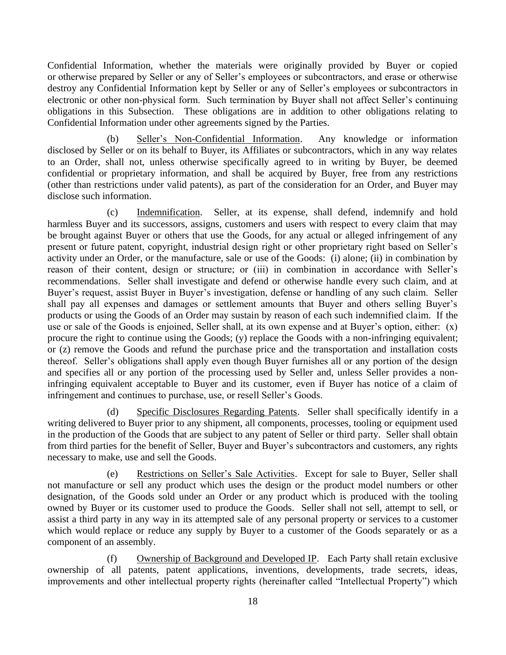Confidential Information, whether the materials were originally provided by Buyer or copied or otherwise prepared by Seller or any of Seller's employees or subcontractors, and erase or otherwise destroy any Confidential Information kept by Seller or any of Seller's employees or subcontractors in electronic or other non-physical form. Such termination by Buyer shall not affect Seller's continuing obligations in this Subsection. These obligations are in addition to other obligations relating to Confidential Information under other agreements signed by the Parties.

<span id="page-21-0"></span>(b) Seller's Non-Confidential Information. Any knowledge or information disclosed by Seller or on its behalf to Buyer, its Affiliates or subcontractors, which in any way relates to an Order, shall not, unless otherwise specifically agreed to in writing by Buyer, be deemed confidential or proprietary information, and shall be acquired by Buyer, free from any restrictions (other than restrictions under valid patents), as part of the consideration for an Order, and Buyer may disclose such information.

<span id="page-21-1"></span>(c) Indemnification. Seller, at its expense, shall defend, indemnify and hold harmless Buyer and its successors, assigns, customers and users with respect to every claim that may be brought against Buyer or others that use the Goods, for any actual or alleged infringement of any present or future patent, copyright, industrial design right or other proprietary right based on Seller's activity under an Order, or the manufacture, sale or use of the Goods: (i) alone; (ii) in combination by reason of their content, design or structure; or (iii) in combination in accordance with Seller's recommendations. Seller shall investigate and defend or otherwise handle every such claim, and at Buyer's request, assist Buyer in Buyer's investigation, defense or handling of any such claim. Seller shall pay all expenses and damages or settlement amounts that Buyer and others selling Buyer's products or using the Goods of an Order may sustain by reason of each such indemnified claim. If the use or sale of the Goods is enjoined, Seller shall, at its own expense and at Buyer's option, either: (x) procure the right to continue using the Goods; (y) replace the Goods with a non-infringing equivalent; or (z) remove the Goods and refund the purchase price and the transportation and installation costs thereof. Seller's obligations shall apply even though Buyer furnishes all or any portion of the design and specifies all or any portion of the processing used by Seller and, unless Seller provides a noninfringing equivalent acceptable to Buyer and its customer, even if Buyer has notice of a claim of infringement and continues to purchase, use, or resell Seller's Goods.

<span id="page-21-2"></span>(d) Specific Disclosures Regarding Patents. Seller shall specifically identify in a writing delivered to Buyer prior to any shipment, all components, processes, tooling or equipment used in the production of the Goods that are subject to any patent of Seller or third party. Seller shall obtain from third parties for the benefit of Seller, Buyer and Buyer's subcontractors and customers, any rights necessary to make, use and sell the Goods.

<span id="page-21-3"></span>(e) Restrictions on Seller's Sale Activities. Except for sale to Buyer, Seller shall not manufacture or sell any product which uses the design or the product model numbers or other designation, of the Goods sold under an Order or any product which is produced with the tooling owned by Buyer or its customer used to produce the Goods. Seller shall not sell, attempt to sell, or assist a third party in any way in its attempted sale of any personal property or services to a customer which would replace or reduce any supply by Buyer to a customer of the Goods separately or as a component of an assembly.

<span id="page-21-4"></span>(f) Ownership of Background and Developed IP. Each Party shall retain exclusive ownership of all patents, patent applications, inventions, developments, trade secrets, ideas, improvements and other intellectual property rights (hereinafter called "Intellectual Property") which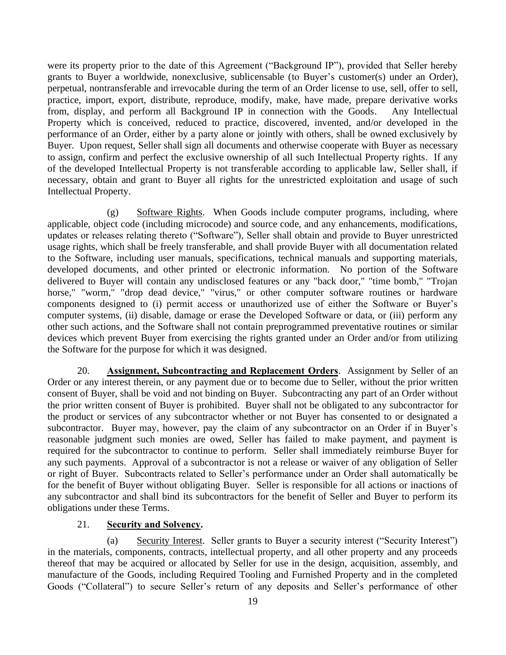were its property prior to the date of this Agreement ("Background IP"), provided that Seller hereby grants to Buyer a worldwide, nonexclusive, sublicensable (to Buyer's customer(s) under an Order), perpetual, nontransferable and irrevocable during the term of an Order license to use, sell, offer to sell, practice, import, export, distribute, reproduce, modify, make, have made, prepare derivative works from, display, and perform all Background IP in connection with the Goods. Any Intellectual Property which is conceived, reduced to practice, discovered, invented, and/or developed in the performance of an Order, either by a party alone or jointly with others, shall be owned exclusively by Buyer. Upon request, Seller shall sign all documents and otherwise cooperate with Buyer as necessary to assign, confirm and perfect the exclusive ownership of all such Intellectual Property rights. If any of the developed Intellectual Property is not transferable according to applicable law, Seller shall, if necessary, obtain and grant to Buyer all rights for the unrestricted exploitation and usage of such Intellectual Property.

<span id="page-22-0"></span>(g) Software Rights. When Goods include computer programs, including, where applicable, object code (including microcode) and source code, and any enhancements, modifications, updates or releases relating thereto ("Software"), Seller shall obtain and provide to Buyer unrestricted usage rights, which shall be freely transferable, and shall provide Buyer with all documentation related to the Software, including user manuals, specifications, technical manuals and supporting materials, developed documents, and other printed or electronic information. No portion of the Software delivered to Buyer will contain any undisclosed features or any "back door," "time bomb," "Trojan horse," "worm," "drop dead device," "virus," or other computer software routines or hardware components designed to (i) permit access or unauthorized use of either the Software or Buyer's computer systems, (ii) disable, damage or erase the Developed Software or data, or (iii) perform any other such actions, and the Software shall not contain preprogrammed preventative routines or similar devices which prevent Buyer from exercising the rights granted under an Order and/or from utilizing the Software for the purpose for which it was designed.

<span id="page-22-1"></span>20. **Assignment, Subcontracting and Replacement Orders**. Assignment by Seller of an Order or any interest therein, or any payment due or to become due to Seller, without the prior written consent of Buyer, shall be void and not binding on Buyer. Subcontracting any part of an Order without the prior written consent of Buyer is prohibited. Buyer shall not be obligated to any subcontractor for the product or services of any subcontractor whether or not Buyer has consented to or designated a subcontractor. Buyer may, however, pay the claim of any subcontractor on an Order if in Buyer's reasonable judgment such monies are owed, Seller has failed to make payment, and payment is required for the subcontractor to continue to perform. Seller shall immediately reimburse Buyer for any such payments. Approval of a subcontractor is not a release or waiver of any obligation of Seller or right of Buyer. Subcontracts related to Seller's performance under an Order shall automatically be for the benefit of Buyer without obligating Buyer. Seller is responsible for all actions or inactions of any subcontractor and shall bind its subcontractors for the benefit of Seller and Buyer to perform its obligations under these Terms.

#### 21. **Security and Solvency.**

<span id="page-22-3"></span><span id="page-22-2"></span>(a) Security Interest. Seller grants to Buyer a security interest ("Security Interest") in the materials, components, contracts, intellectual property, and all other property and any proceeds thereof that may be acquired or allocated by Seller for use in the design, acquisition, assembly, and manufacture of the Goods, including Required Tooling and Furnished Property and in the completed Goods ("Collateral") to secure Seller's return of any deposits and Seller's performance of other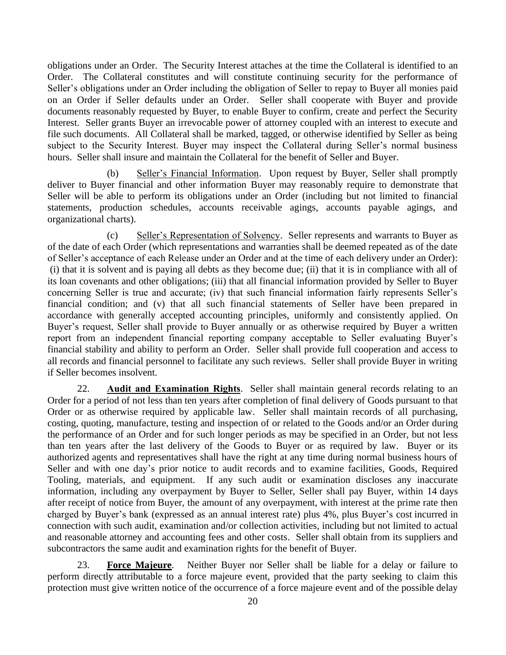obligations under an Order. The Security Interest attaches at the time the Collateral is identified to an Order. The Collateral constitutes and will constitute continuing security for the performance of Seller's obligations under an Order including the obligation of Seller to repay to Buyer all monies paid on an Order if Seller defaults under an Order. Seller shall cooperate with Buyer and provide documents reasonably requested by Buyer, to enable Buyer to confirm, create and perfect the Security Interest. Seller grants Buyer an irrevocable power of attorney coupled with an interest to execute and file such documents. All Collateral shall be marked, tagged, or otherwise identified by Seller as being subject to the Security Interest. Buyer may inspect the Collateral during Seller's normal business hours. Seller shall insure and maintain the Collateral for the benefit of Seller and Buyer.

<span id="page-23-0"></span>(b) Seller's Financial Information. Upon request by Buyer, Seller shall promptly deliver to Buyer financial and other information Buyer may reasonably require to demonstrate that Seller will be able to perform its obligations under an Order (including but not limited to financial statements, production schedules, accounts receivable agings, accounts payable agings, and organizational charts).

<span id="page-23-1"></span>(c) Seller's Representation of Solvency. Seller represents and warrants to Buyer as of the date of each Order (which representations and warranties shall be deemed repeated as of the date of Seller's acceptance of each Release under an Order and at the time of each delivery under an Order): (i) that it is solvent and is paying all debts as they become due; (ii) that it is in compliance with all of its loan covenants and other obligations; (iii) that all financial information provided by Seller to Buyer concerning Seller is true and accurate; (iv) that such financial information fairly represents Seller's financial condition; and (v) that all such financial statements of Seller have been prepared in accordance with generally accepted accounting principles, uniformly and consistently applied. On Buyer's request, Seller shall provide to Buyer annually or as otherwise required by Buyer a written report from an independent financial reporting company acceptable to Seller evaluating Buyer's financial stability and ability to perform an Order. Seller shall provide full cooperation and access to all records and financial personnel to facilitate any such reviews. Seller shall provide Buyer in writing if Seller becomes insolvent.

<span id="page-23-2"></span>22. **Audit and Examination Rights**. Seller shall maintain general records relating to an Order for a period of not less than ten years after completion of final delivery of Goods pursuant to that Order or as otherwise required by applicable law. Seller shall maintain records of all purchasing, costing, quoting, manufacture, testing and inspection of or related to the Goods and/or an Order during the performance of an Order and for such longer periods as may be specified in an Order, but not less than ten years after the last delivery of the Goods to Buyer or as required by law. Buyer or its authorized agents and representatives shall have the right at any time during normal business hours of Seller and with one day's prior notice to audit records and to examine facilities, Goods, Required Tooling, materials, and equipment. If any such audit or examination discloses any inaccurate information, including any overpayment by Buyer to Seller, Seller shall pay Buyer, within 14 days after receipt of notice from Buyer, the amount of any overpayment, with interest at the prime rate then charged by Buyer's bank (expressed as an annual interest rate) plus 4%, plus Buyer's cost incurred in connection with such audit, examination and/or collection activities, including but not limited to actual and reasonable attorney and accounting fees and other costs. Seller shall obtain from its suppliers and subcontractors the same audit and examination rights for the benefit of Buyer.

<span id="page-23-3"></span>23. **Force Majeure**. Neither Buyer nor Seller shall be liable for a delay or failure to perform directly attributable to a force majeure event, provided that the party seeking to claim this protection must give written notice of the occurrence of a force majeure event and of the possible delay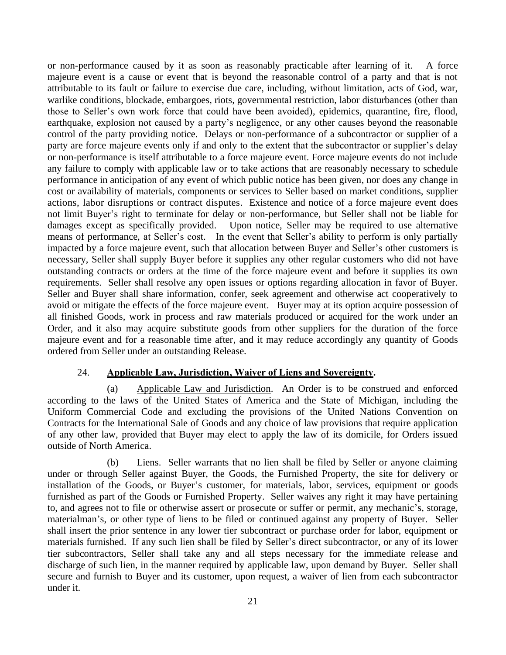or non-performance caused by it as soon as reasonably practicable after learning of it. A force majeure event is a cause or event that is beyond the reasonable control of a party and that is not attributable to its fault or failure to exercise due care, including, without limitation, acts of God, war, warlike conditions, blockade, embargoes, riots, governmental restriction, labor disturbances (other than those to Seller's own work force that could have been avoided), epidemics, quarantine, fire, flood, earthquake, explosion not caused by a party's negligence, or any other causes beyond the reasonable control of the party providing notice. Delays or non-performance of a subcontractor or supplier of a party are force majeure events only if and only to the extent that the subcontractor or supplier's delay or non-performance is itself attributable to a force majeure event. Force majeure events do not include any failure to comply with applicable law or to take actions that are reasonably necessary to schedule performance in anticipation of any event of which public notice has been given, nor does any change in cost or availability of materials, components or services to Seller based on market conditions, supplier actions, labor disruptions or contract disputes. Existence and notice of a force majeure event does not limit Buyer's right to terminate for delay or non-performance, but Seller shall not be liable for damages except as specifically provided. Upon notice, Seller may be required to use alternative means of performance, at Seller's cost. In the event that Seller's ability to perform is only partially impacted by a force majeure event, such that allocation between Buyer and Seller's other customers is necessary, Seller shall supply Buyer before it supplies any other regular customers who did not have outstanding contracts or orders at the time of the force majeure event and before it supplies its own requirements. Seller shall resolve any open issues or options regarding allocation in favor of Buyer. Seller and Buyer shall share information, confer, seek agreement and otherwise act cooperatively to avoid or mitigate the effects of the force majeure event. Buyer may at its option acquire possession of all finished Goods, work in process and raw materials produced or acquired for the work under an Order, and it also may acquire substitute goods from other suppliers for the duration of the force majeure event and for a reasonable time after, and it may reduce accordingly any quantity of Goods ordered from Seller under an outstanding Release.

### 24. **Applicable Law, Jurisdiction, Waiver of Liens and Sovereignty.**

<span id="page-24-1"></span><span id="page-24-0"></span>(a) Applicable Law and Jurisdiction. An Order is to be construed and enforced according to the laws of the United States of America and the State of Michigan, including the Uniform Commercial Code and excluding the provisions of the United Nations Convention on Contracts for the International Sale of Goods and any choice of law provisions that require application of any other law, provided that Buyer may elect to apply the law of its domicile, for Orders issued outside of North America.

<span id="page-24-2"></span>(b) Liens. Seller warrants that no lien shall be filed by Seller or anyone claiming under or through Seller against Buyer, the Goods, the Furnished Property, the site for delivery or installation of the Goods, or Buyer's customer, for materials, labor, services, equipment or goods furnished as part of the Goods or Furnished Property. Seller waives any right it may have pertaining to, and agrees not to file or otherwise assert or prosecute or suffer or permit, any mechanic's, storage, materialman's, or other type of liens to be filed or continued against any property of Buyer. Seller shall insert the prior sentence in any lower tier subcontract or purchase order for labor, equipment or materials furnished. If any such lien shall be filed by Seller's direct subcontractor, or any of its lower tier subcontractors, Seller shall take any and all steps necessary for the immediate release and discharge of such lien, in the manner required by applicable law, upon demand by Buyer. Seller shall secure and furnish to Buyer and its customer, upon request, a waiver of lien from each subcontractor under it.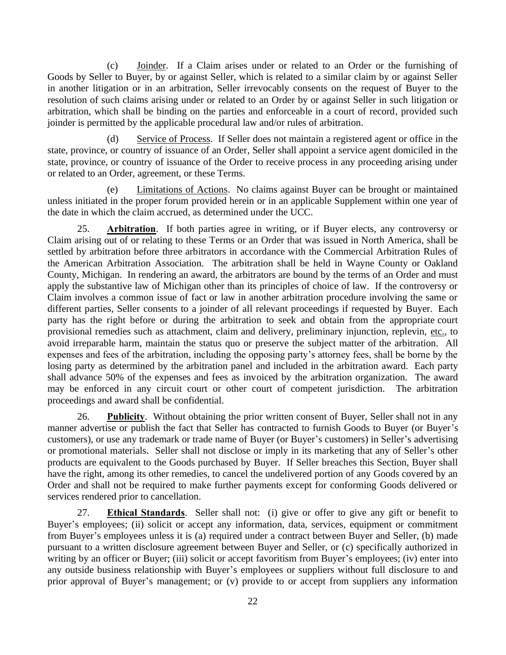<span id="page-25-0"></span>(c) Joinder. If a Claim arises under or related to an Order or the furnishing of Goods by Seller to Buyer, by or against Seller, which is related to a similar claim by or against Seller in another litigation or in an arbitration, Seller irrevocably consents on the request of Buyer to the resolution of such claims arising under or related to an Order by or against Seller in such litigation or arbitration, which shall be binding on the parties and enforceable in a court of record, provided such joinder is permitted by the applicable procedural law and/or rules of arbitration.

<span id="page-25-1"></span>(d) Service of Process. If Seller does not maintain a registered agent or office in the state, province, or country of issuance of an Order, Seller shall appoint a service agent domiciled in the state, province, or country of issuance of the Order to receive process in any proceeding arising under or related to an Order, agreement, or these Terms.

<span id="page-25-2"></span>(e) Limitations of Actions. No claims against Buyer can be brought or maintained unless initiated in the proper forum provided herein or in an applicable Supplement within one year of the date in which the claim accrued, as determined under the UCC.

<span id="page-25-3"></span>25. **Arbitration**. If both parties agree in writing, or if Buyer elects, any controversy or Claim arising out of or relating to these Terms or an Order that was issued in North America, shall be settled by arbitration before three arbitrators in accordance with the Commercial Arbitration Rules of the American Arbitration Association. The arbitration shall be held in Wayne County or Oakland County, Michigan. In rendering an award, the arbitrators are bound by the terms of an Order and must apply the substantive law of Michigan other than its principles of choice of law. If the controversy or Claim involves a common issue of fact or law in another arbitration procedure involving the same or different parties, Seller consents to a joinder of all relevant proceedings if requested by Buyer. Each party has the right before or during the arbitration to seek and obtain from the appropriate court provisional remedies such as attachment, claim and delivery, preliminary injunction, replevin, etc., to avoid irreparable harm, maintain the status quo or preserve the subject matter of the arbitration. All expenses and fees of the arbitration, including the opposing party's attorney fees, shall be borne by the losing party as determined by the arbitration panel and included in the arbitration award. Each party shall advance 50% of the expenses and fees as invoiced by the arbitration organization. The award may be enforced in any circuit court or other court of competent jurisdiction. The arbitration proceedings and award shall be confidential.

<span id="page-25-4"></span>26. **Publicity**. Without obtaining the prior written consent of Buyer, Seller shall not in any manner advertise or publish the fact that Seller has contracted to furnish Goods to Buyer (or Buyer's customers), or use any trademark or trade name of Buyer (or Buyer's customers) in Seller's advertising or promotional materials. Seller shall not disclose or imply in its marketing that any of Seller's other products are equivalent to the Goods purchased by Buyer. If Seller breaches this Section, Buyer shall have the right, among its other remedies, to cancel the undelivered portion of any Goods covered by an Order and shall not be required to make further payments except for conforming Goods delivered or services rendered prior to cancellation.

<span id="page-25-5"></span>27. **Ethical Standards**. Seller shall not: (i) give or offer to give any gift or benefit to Buyer's employees; (ii) solicit or accept any information, data, services, equipment or commitment from Buyer's employees unless it is (a) required under a contract between Buyer and Seller, (b) made pursuant to a written disclosure agreement between Buyer and Seller, or (c) specifically authorized in writing by an officer or Buyer; (iii) solicit or accept favoritism from Buyer's employees; (iv) enter into any outside business relationship with Buyer's employees or suppliers without full disclosure to and prior approval of Buyer's management; or (v) provide to or accept from suppliers any information